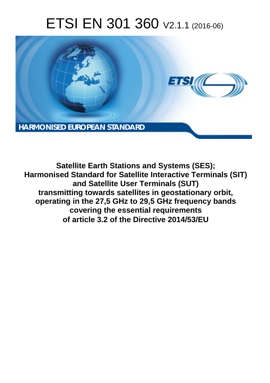# ETSI EN 301 360 V2.1.1 (2016-06)



**Satellite Earth Stations and Systems (SES); Harmonised Standard for Satellite Interactive Terminals (SIT) and Satellite User Terminals (SUT) transmitting towards satellites in geostationary orbit, operating in the 27,5 GHz to 29,5 GHz frequency bands covering the essential requirements of article 3.2 of the Directive 2014/53/EU**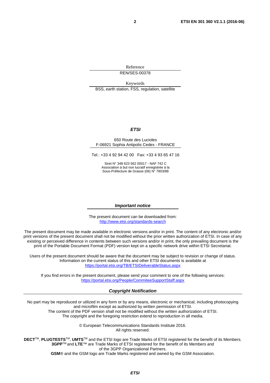Reference REN/SES-00378

Keywords BSS, earth station, FSS, regulation, satellite

#### *ETSI*

#### 650 Route des Lucioles F-06921 Sophia Antipolis Cedex - FRANCE

Tel.: +33 4 92 94 42 00 Fax: +33 4 93 65 47 16

Siret N° 348 623 562 00017 - NAF 742 C Association à but non lucratif enregistrée à la Sous-Préfecture de Grasse (06) N° 7803/88

#### *Important notice*

The present document can be downloaded from: <http://www.etsi.org/standards-search>

The present document may be made available in electronic versions and/or in print. The content of any electronic and/or print versions of the present document shall not be modified without the prior written authorization of ETSI. In case of any existing or perceived difference in contents between such versions and/or in print, the only prevailing document is the print of the Portable Document Format (PDF) version kept on a specific network drive within ETSI Secretariat.

Users of the present document should be aware that the document may be subject to revision or change of status. Information on the current status of this and other ETSI documents is available at <https://portal.etsi.org/TB/ETSIDeliverableStatus.aspx>

If you find errors in the present document, please send your comment to one of the following services: <https://portal.etsi.org/People/CommiteeSupportStaff.aspx>

#### *Copyright Notification*

No part may be reproduced or utilized in any form or by any means, electronic or mechanical, including photocopying and microfilm except as authorized by written permission of ETSI.

The content of the PDF version shall not be modified without the written authorization of ETSI. The copyright and the foregoing restriction extend to reproduction in all media.

> © European Telecommunications Standards Institute 2016. All rights reserved.

**DECT**TM, **PLUGTESTS**TM, **UMTS**TM and the ETSI logo are Trade Marks of ETSI registered for the benefit of its Members. **3GPP**TM and **LTE**™ are Trade Marks of ETSI registered for the benefit of its Members and of the 3GPP Organizational Partners.

**GSM**® and the GSM logo are Trade Marks registered and owned by the GSM Association.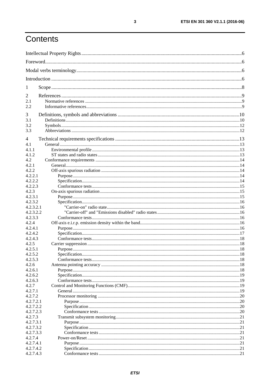# Contents

| 1                    |  |  |
|----------------------|--|--|
| 2                    |  |  |
| 2.1                  |  |  |
| 2.2                  |  |  |
| 3                    |  |  |
| 3.1                  |  |  |
| 3.2                  |  |  |
| 3.3                  |  |  |
| 4                    |  |  |
| 4.1                  |  |  |
| 4.1.1                |  |  |
| 4.1.2                |  |  |
| 4.2                  |  |  |
| 4.2.1<br>4.2.2       |  |  |
| 4.2.2.1              |  |  |
| 4.2.2.2              |  |  |
| 4.2.2.3              |  |  |
| 4.2.3                |  |  |
| 4.2.3.1              |  |  |
| 4.2.3.2              |  |  |
| 4.2.3.2.1            |  |  |
| 4.2.3.2.2            |  |  |
| 4.2.3.3              |  |  |
| 4.2.4                |  |  |
| 4.2.4.1              |  |  |
| 4.2.4.2              |  |  |
| 4.2.4.3              |  |  |
| 4.2.5                |  |  |
| 4.2.5.1<br>4.2.5.2   |  |  |
| 4.2.5.3              |  |  |
| 4.2.6                |  |  |
| 4.2.6.1              |  |  |
| 4.2.6.2              |  |  |
| 4.2.6.3              |  |  |
| 4.2.7                |  |  |
| 4.2.7.1              |  |  |
| 4.2.7.2              |  |  |
| 4.2.7.2.1            |  |  |
| 4.2.7.2.2            |  |  |
| 4.2.7.2.3            |  |  |
| 4.2.7.3              |  |  |
| 4.2.7.3.1            |  |  |
| 4.2.7.3.2            |  |  |
| 4.2.7.3.3            |  |  |
| 4.2.7.4<br>4.2.7.4.1 |  |  |
| 4.2.7.4.2            |  |  |
| 4.2.7.4.3            |  |  |
|                      |  |  |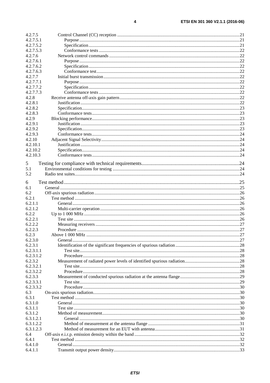| 4.2.7.5   |  |
|-----------|--|
| 4.2.7.5.1 |  |
| 4.2.7.5.2 |  |
| 4.2.7.5.3 |  |
| 4.2.7.6   |  |
| 4.2.7.6.1 |  |
| 4.2.7.6.2 |  |
| 4.2.7.6.3 |  |
| 4.2.7.7   |  |
| 4.2.7.7.1 |  |
| 4.2.7.7.2 |  |
| 4.2.7.7.3 |  |
| 4.2.8     |  |
| 4.2.8.1   |  |
| 4.2.8.2   |  |
| 4.2.8.3   |  |
| 4.2.9     |  |
| 4.2.9.1   |  |
|           |  |
| 4.2.9.2   |  |
| 4.2.9.3   |  |
| 4.2.10    |  |
| 4.2.10.1  |  |
| 4.2.10.2  |  |
| 4.2.10.3  |  |
| 5         |  |
| 5.1       |  |
|           |  |
| 5.2       |  |
| 6         |  |
| 6.1       |  |
| 6.2       |  |
| 6.2.1     |  |
| 6.2.1.1   |  |
| 6.2.1.2   |  |
| 6.2.2     |  |
| 6.2.2.1   |  |
| 6.2.2.2   |  |
| 6.2.2.3   |  |
|           |  |
| 6.2.3     |  |
| 6.2.3.0   |  |
| 6.2.3.1   |  |
| 6.2.3.1.1 |  |
| 6.2.3.1.2 |  |
| 6.2.3.2   |  |
| 6.2.3.2.1 |  |
| 6.2.3.2.2 |  |
| 6.2.3.3   |  |
| 6.2.3.3.1 |  |
| 6.2.3.3.2 |  |
| 6.3       |  |
| 6.3.1     |  |
| 6.3.1.0   |  |
| 6.3.1.1   |  |
| 6.3.1.2   |  |
| 6.3.1.2.1 |  |
| 6.3.1.2.2 |  |
| 6.3.1.2.3 |  |
| 6.4       |  |
| 6.4.1     |  |
| 6.4.1.0   |  |
|           |  |
| 6.4.1.1   |  |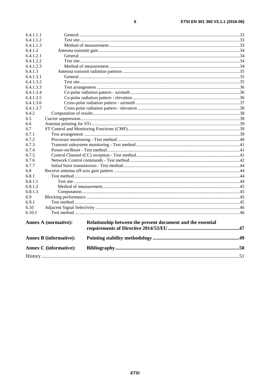| 6.4.1.1.1 |                               |                                                             |  |
|-----------|-------------------------------|-------------------------------------------------------------|--|
| 6.4.1.1.2 |                               |                                                             |  |
| 6.4.1.1.3 |                               |                                                             |  |
| 6.4.1.2   |                               |                                                             |  |
| 6.4.1.2.1 |                               |                                                             |  |
| 6.4.1.2.2 |                               |                                                             |  |
| 6.4.1.2.3 |                               |                                                             |  |
| 6.4.1.3   |                               |                                                             |  |
| 6.4.1.3.1 |                               |                                                             |  |
| 6.4.1.3.2 |                               |                                                             |  |
| 6.4.1.3.3 |                               |                                                             |  |
| 6.4.1.3.4 |                               |                                                             |  |
| 6.4.1.3.5 |                               |                                                             |  |
| 6.4.1.3.6 |                               |                                                             |  |
| 6.4.1.3.7 |                               |                                                             |  |
| 6.4.2     |                               |                                                             |  |
| 6.5       |                               |                                                             |  |
| 6.6       |                               |                                                             |  |
| 6.7       |                               |                                                             |  |
| 6.7.1     |                               |                                                             |  |
| 6.7.2     |                               |                                                             |  |
| 6.7.3     |                               |                                                             |  |
| 6.7.4     |                               |                                                             |  |
| 6.7.5     |                               |                                                             |  |
| 6.7.6     |                               |                                                             |  |
| 6.7.7     |                               |                                                             |  |
| 6.8       |                               |                                                             |  |
| 6.8.1     |                               |                                                             |  |
| 6.8.1.1   |                               |                                                             |  |
| 6.8.1.2   |                               |                                                             |  |
| 6.8.1.3   |                               |                                                             |  |
| 6.9       |                               |                                                             |  |
| 6.9.1     |                               |                                                             |  |
| 6.10      |                               |                                                             |  |
| 6.10.1    |                               |                                                             |  |
|           | <b>Annex A (normative):</b>   | Relationship between the present document and the essential |  |
|           | <b>Annex B</b> (informative): |                                                             |  |
|           | <b>Annex C</b> (informative): |                                                             |  |
|           |                               |                                                             |  |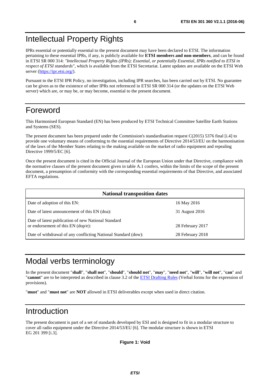# <span id="page-5-0"></span>Intellectual Property Rights

IPRs essential or potentially essential to the present document may have been declared to ETSI. The information pertaining to these essential IPRs, if any, is publicly available for **ETSI members and non-members**, and can be found in ETSI SR 000 314: *"Intellectual Property Rights (IPRs); Essential, or potentially Essential, IPRs notified to ETSI in respect of ETSI standards"*, which is available from the ETSI Secretariat. Latest updates are available on the ETSI Web server (<https://ipr.etsi.org/>).

Pursuant to the ETSI IPR Policy, no investigation, including IPR searches, has been carried out by ETSI. No guarantee can be given as to the existence of other IPRs not referenced in ETSI SR 000 314 (or the updates on the ETSI Web server) which are, or may be, or may become, essential to the present document.

# Foreword

This Harmonised European Standard (EN) has been produced by ETSI Technical Committee Satellite Earth Stations and Systems (SES).

The present document has been prepared under the Commission's standardisation request C(2015) 5376 final [\[i.4\]](#page-8-0) to provide one voluntary means of conforming to the essential requirements of Directive 2014/53/EU on the harmonisation of the laws of the Member States relating to the making available on the market of radio equipment and repealing Directive 1999/5/EC [\[6](#page-8-0)].

Once the present document is cited in the Official Journal of the European Union under that Directive, compliance with the normative clauses of the present document given in table A.1 confers, within the limits of the scope of the present document, a presumption of conformity with the corresponding essential requirements of that Directive, and associated EFTA regulations.

| <b>National transposition dates</b>                                                       |                  |  |
|-------------------------------------------------------------------------------------------|------------------|--|
| Date of adoption of this EN:                                                              | 16 May 2016      |  |
| Date of latest announcement of this EN (doa):                                             | 31 August 2016   |  |
| Date of latest publication of new National Standard<br>or endorsement of this EN (dop/e): | 28 February 2017 |  |
| Date of withdrawal of any conflicting National Standard (dow):                            | 28 February 2018 |  |

# Modal verbs terminology

In the present document "**shall**", "**shall not**", "**should**", "**should not**", "**may**", "**need not**", "**will**", "**will not**", "**can**" and "**cannot**" are to be interpreted as described in clause 3.2 of the [ETSI Drafting Rules](https://portal.etsi.org/Services/editHelp!/Howtostart/ETSIDraftingRules.aspx) (Verbal forms for the expression of provisions).

"**must**" and "**must not**" are **NOT** allowed in ETSI deliverables except when used in direct citation.

# Introduction

The present document is part of a set of standards developed by ESI and is designed to fit in a modular structure to cover all radio equipment under the Directive 2014/53/EU [\[6](#page-8-0)]. The modular structure is shown in ETSI EG 201 399 [[i.3](#page-8-0)].

**Figure 1: Void**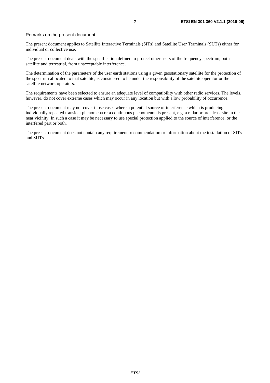#### Remarks on the present document

The present document applies to Satellite Interactive Terminals (SITs) and Satellite User Terminals (SUTs) either for individual or collective use.

The present document deals with the specification defined to protect other users of the frequency spectrum, both satellite and terrestrial, from unacceptable interference.

The determination of the parameters of the user earth stations using a given geostationary satellite for the protection of the spectrum allocated to that satellite, is considered to be under the responsibility of the satellite operator or the satellite network operators.

The requirements have been selected to ensure an adequate level of compatibility with other radio services. The levels, however, do not cover extreme cases which may occur in any location but with a low probability of occurrence.

The present document may not cover those cases where a potential source of interference which is producing individually repeated transient phenomena or a continuous phenomenon is present, e.g. a radar or broadcast site in the near vicinity. In such a case it may be necessary to use special protection applied to the source of interference, or the interfered part or both.

The present document does not contain any requirement, recommendation or information about the installation of SITs and SUTs.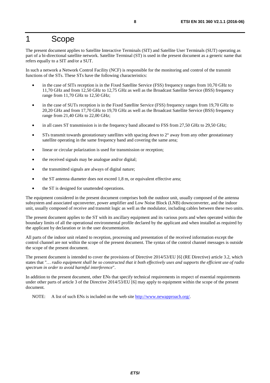# <span id="page-7-0"></span>1 Scope

The present document applies to Satellite Interactive Terminals (SIT) and Satellite User Terminals (SUT) operating as part of a bi-directional satellite network. Satellite Terminal (ST) is used in the present document as a generic name that refers equally to a SIT and/or a SUT.

In such a network a Network Control Facility (NCF) is responsible for the monitoring and control of the transmit functions of the STs. These STs have the following characteristics:

- in the case of SITs reception is in the Fixed Satellite Service (FSS) frequency ranges from 10,70 GHz to 11,70 GHz and from 12,50 GHz to 12,75 GHz as well as the Broadcast Satellite Service (BSS) frequency range from 11,70 GHz to 12,50 GHz;
- in the case of SUTs reception is in the Fixed Satellite Service (FSS) frequency ranges from 19,70 GHz to 20,20 GHz and from 17,70 GHz to 19,70 GHz as well as the Broadcast Satellite Service (BSS) frequency range from 21,40 GHz to 22,00 GHz;
- in all cases ST transmission is in the frequency band allocated to FSS from 27,50 GHz to 29,50 GHz;
- STs transmit towards geostationary satellites with spacing down to  $2^{\circ}$  away from any other geostationary satellite operating in the same frequency band and covering the same area;
- linear or circular polarization is used for transmission or reception;
- the received signals may be analogue and/or digital;
- the transmitted signals are always of digital nature;
- the ST antenna diameter does not exceed 1,8 m, or equivalent effective area;
- the ST is designed for unattended operations.

The equipment considered in the present document comprises both the outdoor unit, usually composed of the antenna subsystem and associated upconverter, power amplifier and Low Noise Block (LNB) downconverter, and the indoor unit, usually composed of receive and transmit logic as well as the modulator, including cables between these two units.

The present document applies to the ST with its ancillary equipment and its various ports and when operated within the boundary limits of all the operational environmental profile declared by the applicant and when installed as required by the applicant by declaration or in the user documentation.

All parts of the indoor unit related to reception, processing and presentation of the received information except the control channel are not within the scope of the present document. The syntax of the control channel messages is outside the scope of the present document.

The present document is intended to cover the provisions of Directive 2014/53/EU [\[6](#page-8-0)] (RE Directive) article 3.2, which states that "*… radio equipment shall be so constructed that it both effectively uses and supports the efficient use of radio spectrum in order to avoid harmful interference*".

In addition to the present document, other ENs that specify technical requirements in respect of essential requirements under other parts of article 3 of the Directive 2014/53/EU [[6\]](#page-8-0) may apply to equipment within the scope of the present document.

NOTE: A list of such ENs is included on the web site [http://www.newapproach.org/.](http://www.newapproach.org/)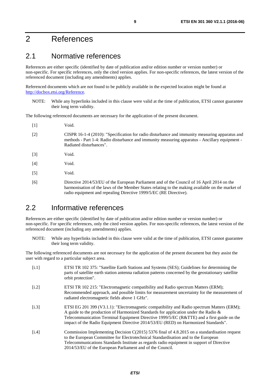# <span id="page-8-0"></span>2 References

### 2.1 Normative references

References are either specific (identified by date of publication and/or edition number or version number) or non-specific. For specific references, only the cited version applies. For non-specific references, the latest version of the referenced document (including any amendments) applies.

Referenced documents which are not found to be publicly available in the expected location might be found at <http://docbox.etsi.org/Reference>.

NOTE: While any hyperlinks included in this clause were valid at the time of publication, ETSI cannot guarantee their long term validity.

The following referenced documents are necessary for the application of the present document.

| $[1]$             | Void.                                                                                                                                                                                                                                                               |
|-------------------|---------------------------------------------------------------------------------------------------------------------------------------------------------------------------------------------------------------------------------------------------------------------|
| $[2]$             | CISPR 16-1-4 (2010): "Specification for radio disturbance and immunity measuring apparatus and<br>methods - Part 1-4: Radio disturbance and immunity measuring apparatus - Ancillary equipment -<br>Radiated disturbances".                                         |
| $[3]$             | Void.                                                                                                                                                                                                                                                               |
| [4]               | Void.                                                                                                                                                                                                                                                               |
| $\lceil 5 \rceil$ | Void.                                                                                                                                                                                                                                                               |
| [6]               | Directive 2014/53/EU of the European Parliament and of the Council of 16 April 2014 on the<br>harmonisation of the laws of the Member States relating to the making available on the market of<br>radio equipment and repealing Directive 1999/5/EC (RE Directive). |

### 2.2 Informative references

References are either specific (identified by date of publication and/or edition number or version number) or non-specific. For specific references, only the cited version applies. For non-specific references, the latest version of the referenced document (including any amendments) applies.

NOTE: While any hyperlinks included in this clause were valid at the time of publication, ETSI cannot guarantee their long term validity.

The following referenced documents are not necessary for the application of the present document but they assist the user with regard to a particular subject area.

| [i.1] | ETSI TR 102 375: "Satellite Earth Stations and Systems (SES); Guidelines for determining the<br>parts of satellite earth station antenna radiation patterns concerned by the geostationary satellite<br>orbit protection".                                                                                                                                              |
|-------|-------------------------------------------------------------------------------------------------------------------------------------------------------------------------------------------------------------------------------------------------------------------------------------------------------------------------------------------------------------------------|
| [i.2] | ETSI TR 102 215: "Electromagnetic compatibility and Radio spectrum Matters (ERM);<br>Recommended approach, and possible limits for measurement uncertainty for the measurement of<br>radiated electromagnetic fields above 1 GHz".                                                                                                                                      |
| [i.3] | ETSI EG 201 399 (V3.1.1): "Electromagnetic compatibility and Radio spectrum Matters (ERM);<br>A guide to the production of Harmonized Standards for application under the Radio $\&$<br>Telecommunication Terminal Equipment Directive 1999/5/EC (R&TTE) and a first guide on the<br>impact of the Radio Equipment Directive 2014/53/EU (RED) on Harmonized Standards". |
| [i.4] | Commission Implementing Decision $C(2015)$ 5376 final of 4.8.2015 on a standardisation request<br>to the European Committee for Electrotechnical Standardisation and to the European<br>Telecommunications Standards Institute as regards radio equipment in support of Directive<br>2014/53/EU of the European Parliament and of the Council.                          |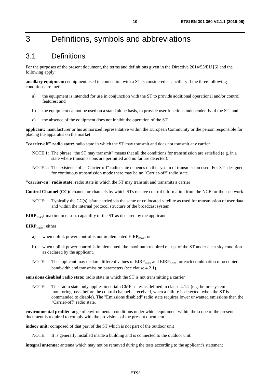# <span id="page-9-0"></span>3 Definitions, symbols and abbreviations

# 3.1 Definitions

For the purposes of the present document, the terms and definitions given in the Directive 2014/53/EU [[6\]](#page-8-0) and the following apply:

**ancillary equipment:** equipment used in connection with a ST is considered as ancillary if the three following conditions are met:

- a) the equipment is intended for use in conjunction with the ST to provide additional operational and/or control features; and
- b) the equipment cannot be used on a stand alone basis, to provide user functions independently of the ST; and
- c) the absence of the equipment does not inhibit the operation of the ST.

**applicant:** manufacturer or his authorized representative within the European Community or the person responsible for placing the apparatus on the market

**"carrier-off" radio state:** radio state in which the ST may transmit and does not transmit any carrier

- NOTE 1: The phrase "the ST may transmit" means that all the conditions for transmission are satisfied (e.g. in a state where transmissions are permitted and no failure detected).
- NOTE 2: The existence of a "Carrier-off" radio state depends on the system of transmission used. For STs designed for continuous transmission mode there may be no "Carrier-off" radio state.

**"carrier-on" radio state:** radio state in which the ST may transmit and transmits a carrier

**Control Channel (CC):** channel or channels by which STs receive control information from the NCF for their network

NOTE: Typically the CC(s) is/are carried via the same or collocated satellite as used for transmission of user data and within the internal protocol structure of the broadcast system.

**EIRP<sub>max</sub>:** maximum e.i.r.p. capability of the ST as declared by the applicant

#### **EIRP<sub>nom</sub>:** either

- a) when uplink power control is not implemented  $EIRP<sub>max</sub>$ ; or
- b) when uplink power control is implemented, the maximum required e.i.r.p. of the ST under clear sky condition as declared by the applicant.
- NOTE: The applicant may declare different values of  $EIRP<sub>max</sub>$  and  $EIRP<sub>nom</sub>$  for each combination of occupied bandwidth and transmission parameters (see clause 4.2.1).

**emissions disabled radio state:** radio state in which the ST is not transmitting a carrier

NOTE: This radio state only applies in certain CMF states as defined in clause 4.1.2 (e.g. before system monitoring pass, before the control channel is received, when a failure is detected, when the ST is commanded to disable). The "Emissions disabled" radio state requires lower unwanted emissions than the "Carrier-off" radio state.

**environmental profile:** range of environmental conditions under which equipment within the scope of the present document is required to comply with the provisions of the present document

**indoor unit:** composed of that part of the ST which is not part of the outdoor unit

NOTE: It is generally installed inside a building and is connected to the outdoor unit.

**integral antenna:** antenna which may not be removed during the tests according to the applicant's statement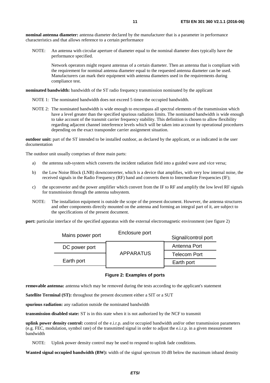**nominal antenna diameter:** antenna diameter declared by the manufacturer that is a parameter in performance characteristics and that allows reference to a certain performance

NOTE: An antenna with circular aperture of diameter equal to the nominal diameter does typically have the performance specified.

Network operators might request antennas of a certain diameter. Then an antenna that is compliant with the requirement for nominal antenna diameter equal to the requested antenna diameter can be used. Manufacturers can mark their equipment with antenna diameters used in the requirements during compliance test.

#### **nominated bandwidth:** bandwidth of the ST radio frequency transmission nominated by the applicant

- NOTE 1: The nominated bandwidth does not exceed 5 times the occupied bandwidth.
- NOTE 2: The nominated bandwidth is wide enough to encompass all spectral elements of the transmission which have a level greater than the specified spurious radiation limits. The nominated bandwidth is wide enough to take account of the transmit carrier frequency stability. This definition is chosen to allow flexibility regarding adjacent channel interference levels which will be taken into account by operational procedures depending on the exact transponder carrier assignment situation.

**outdoor unit:** part of the ST intended to be installed outdoor, as declared by the applicant, or as indicated in the user documentation

The outdoor unit usually comprises of three main parts:

- a) the antenna sub-system which converts the incident radiation field into a guided wave and vice versa;
- b) the Low Noise Block (LNB) downconverter, which is a device that amplifies, with very low internal noise, the received signals in the Radio Frequency (RF) band and converts them to Intermediate Frequencies (IF);
- c) the upconverter and the power amplifier which convert from the IF to RF and amplify the low level RF signals for transmission through the antenna subsystem.
- NOTE: The installation equipment is outside the scope of the present document. However, the antenna structures and other components directly mounted on the antenna and forming an integral part of it, are subject to the specifications of the present document.

**port:** particular interface of the specified apparatus with the external electromagnetic environment (see figure 2)

| Mains power port | Enclosure port   | Signal/control port |
|------------------|------------------|---------------------|
| DC power port    |                  | Antenna Port        |
|                  | <b>APPARATUS</b> | <b>Telecom Port</b> |
| Earth port       |                  | Earth port          |

#### **Figure 2: Examples of ports**

**removable antenna:** antenna which may be removed during the tests according to the applicant's statement

**Satellite Terminal (ST):** throughout the present document either a SIT or a SUT

**spurious radiation:** any radiation outside the nominated bandwidth

**transmission disabled state:** ST is in this state when it is not authorized by the NCF to transmit

**uplink power density control:** control of the e.i.r.p. and/or occupied bandwidth and/or other transmission parameters (e.g. FEC, modulation, symbol rate) of the transmitted signal in order to adjust the e.i.r.p. in a given measurement bandwidth

NOTE: Uplink power density control may be used to respond to uplink fade conditions.

**Wanted signal occupied bandwidth (BW):** width of the signal spectrum 10 dB below the maximum inband density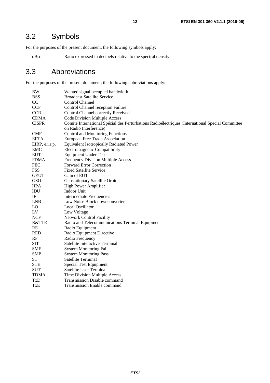# <span id="page-11-0"></span>3.2 Symbols

For the purposes of the present document, the following symbols apply:

dBsd Ratio expressed in decibels relative to the spectral density

## 3.3 Abbreviations

For the purposes of the present document, the following abbreviations apply:

| BW                 | Wanted signal occupied bandwidth                                                                 |
|--------------------|--------------------------------------------------------------------------------------------------|
| <b>BSS</b>         | <b>Broadcast Satellite Service</b>                                                               |
| CC                 | <b>Control Channel</b>                                                                           |
| <b>CCF</b>         | Control Channel reception Failure                                                                |
| <b>CCR</b>         | Control Channel correctly Received                                                               |
| <b>CDMA</b>        | Code Division Multiple Access                                                                    |
| <b>CISPR</b>       | Comité International Spécial des Perturbations Radioélectriques (International Special Committee |
|                    | on Radio Interference)                                                                           |
| <b>CMF</b>         | Control and Monitoring Functions                                                                 |
| <b>EFTA</b>        | European Free Trade Association                                                                  |
| EIRP, e.i.r.p.     | <b>Equivalent Isotropically Radiated Power</b>                                                   |
| <b>EMC</b>         | Electromagnetic Compatibility                                                                    |
| <b>EUT</b>         | <b>Equipment Under Test</b>                                                                      |
| <b>FDMA</b>        | Frequency Division Multiple Access                                                               |
| <b>FEC</b>         | <b>Forward Error Correction</b>                                                                  |
| <b>FSS</b>         | <b>Fixed Satellite Service</b>                                                                   |
| <b>GEUT</b>        | Gain of EUT                                                                                      |
| GSO                | <b>Geostationary Satellite Orbit</b>                                                             |
| <b>HPA</b>         | High Power Amplifier                                                                             |
| $\mathbf{IDU}$     | Indoor Unit                                                                                      |
| IF                 | <b>Intermediate Frequencies</b>                                                                  |
| <b>LNB</b>         | Low Noise Block downconverter                                                                    |
| LO                 | Local Oscillator                                                                                 |
| LV                 | Low Voltage                                                                                      |
| <b>NCF</b>         | <b>Network Control Facility</b>                                                                  |
| <b>R&amp;TTE</b>   | Radio and Telecommunications Terminal Equipment                                                  |
| <b>RE</b>          | Radio Equipment                                                                                  |
| <b>RED</b>         | Radio Equipment Directive                                                                        |
| RF                 | Radio Frequency                                                                                  |
| <b>SIT</b>         | Satellite Interactive Terminal                                                                   |
| <b>SMF</b>         | <b>System Monitoring Fail</b>                                                                    |
| <b>SMP</b>         | <b>System Monitoring Pass</b>                                                                    |
| ${\cal S}{\cal T}$ | Satellite Terminal                                                                               |
| <b>STE</b>         | Special Test Equipment                                                                           |
| <b>SUT</b>         | Satellite User Terminal                                                                          |
| <b>TDMA</b>        | Time Division Multiple Access                                                                    |
| TxD                | <b>Transmission Disable command</b>                                                              |
| <b>TxE</b>         | <b>Transmission Enable command</b>                                                               |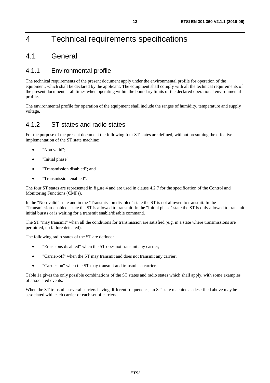# <span id="page-12-0"></span>4 Technical requirements specifications

# 4.1 General

### 4.1.1 Environmental profile

The technical requirements of the present document apply under the environmental profile for operation of the equipment, which shall be declared by the applicant. The equipment shall comply with all the technical requirements of the present document at all times when operating within the boundary limits of the declared operational environmental profile.

The environmental profile for operation of the equipment shall include the ranges of humidity, temperature and supply voltage.

### 4.1.2 ST states and radio states

For the purpose of the present document the following four ST states are defined, without presuming the effective implementation of the ST state machine:

- "Non valid":
- "Initial phase";
- "Transmission disabled"; and
- "Transmission enabled".

The four ST states are represented in figure 4 and are used in clause 4.2.7 for the specification of the Control and Monitoring Functions (CMFs).

In the "Non-valid" state and in the "Transmission disabled" state the ST is not allowed to transmit. In the "Transmission-enabled" state the ST is allowed to transmit. In the "Initial phase" state the ST is only allowed to transmit initial bursts or is waiting for a transmit enable/disable command.

The ST "may transmit" when all the conditions for transmission are satisfied (e.g. in a state where transmissions are permitted, no failure detected).

The following radio states of the ST are defined:

- "Emissions disabled" when the ST does not transmit any carrier;
- "Carrier-off" when the ST may transmit and does not transmit any carrier;
- "Carrier-on" when the ST may transmit and transmits a carrier.

Table 1a gives the only possible combinations of the ST states and radio states which shall apply, with some examples of associated events.

When the ST transmits several carriers having different frequencies, an ST state machine as described above may be associated with each carrier or each set of carriers.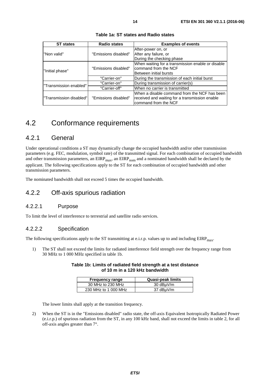<span id="page-13-0"></span>

| <b>ST</b> states        | <b>Radio states</b>  | <b>Examples of events</b>                         |  |
|-------------------------|----------------------|---------------------------------------------------|--|
|                         |                      | After-power on, or                                |  |
| "Non valid"             | "Emissions disabled" | After any failure, or                             |  |
|                         |                      | During the checking phase                         |  |
|                         |                      | When waiting for a transmission enable or disable |  |
|                         | "Emissions disabled" | command from the NCF                              |  |
| "Initial phase"         |                      | Between initial bursts                            |  |
|                         | "Carrier-on"         | During the transmission of each initial burst     |  |
| "Transmission enabled"  | "Carrier-on"         | During transmission of carrier(s)                 |  |
|                         | "Carrier-off"        | When no carrier is transmitted                    |  |
|                         |                      | When a disable command from the NCF has been      |  |
| "Transmission disabled" | "Emissions disabled" | received and waiting for a transmission enable    |  |
|                         |                      | command from the NCF                              |  |

**Table 1a: ST states and Radio states** 

### 4.2 Conformance requirements

### 4.2.1 General

Under operational conditions a ST may dynamically change the occupied bandwidth and/or other transmission parameters (e.g. FEC, modulation, symbol rate) of the transmitted signal. For each combination of occupied bandwidth and other transmission parameters, an  $EIRP<sub>max</sub>$ , an  $EIRP<sub>nom</sub>$  and a nominated bandwidth shall be declared by the applicant. The following specifications apply to the ST for each combination of occupied bandwidth and other transmission parameters.

The nominated bandwidth shall not exceed 5 times the occupied bandwidth.

### 4.2.2 Off-axis spurious radiation

### 4.2.2.1 Purpose

To limit the level of interference to terrestrial and satellite radio services.

### 4.2.2.2 Specification

The following specifications apply to the ST transmitting at e.i.r.p. values up to and including  $EIRP<sub>max</sub>$ .

1) The ST shall not exceed the limits for radiated interference field strength over the frequency range from 30 MHz to 1 000 MHz specified in table 1b.

#### **Table 1b: Limits of radiated field strength at a test distance of 10 m in a 120 kHz bandwidth**

| <b>Frequency range</b> | Quasi-peak limits |  |
|------------------------|-------------------|--|
| 30 MHz to 230 MHz      | 30 dBµV/m         |  |
| 230 MHz to 1 000 MHz   | 37 dBµV/m         |  |

The lower limits shall apply at the transition frequency.

2) When the ST is in the "Emissions disabled" radio state, the off-axis Equivalent Isotropically Radiated Power (e.i.r.p.) of spurious radiation from the ST, in any 100 kHz band, shall not exceed the limits in table 2, for all off-axis angles greater than 7°.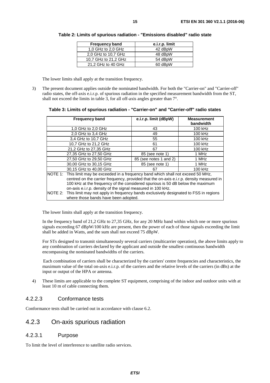| <b>Frequency band</b> | e.i.r.p. limit |
|-----------------------|----------------|
| 1,0 GHz to 2,0 GHz    | 42 dBpW        |
| 2,0 GHz to 10,7 GHz   | 48 dBpW        |
| 10.7 GHz to 21.2 GHz  | 54 dBpW        |
| 21,2 GHz to 40 GHz    | 60 dBpW        |

<span id="page-14-0"></span>**Table 2: Limits of spurious radiation - "Emissions disabled" radio state** 

The lower limits shall apply at the transition frequency.

3) The present document applies outside the nominated bandwidth. For both the "Carrier-on" and "Carrier-off" radio states, the off-axis e.i.r.p. of spurious radiation in the specified measurement bandwidth from the ST, shall not exceed the limits in table 3, for all off-axis angles greater than 7°.

| <b>Frequency band</b>                                                                                                                                                                                                                     | e.i.r.p. limit (dBpW)  | <b>Measurement</b><br>bandwidth |
|-------------------------------------------------------------------------------------------------------------------------------------------------------------------------------------------------------------------------------------------|------------------------|---------------------------------|
| 1,0 GHz to 2,0 GHz                                                                                                                                                                                                                        | 43                     | 100 kHz                         |
| 2.0 GHz to 3.4 GHz                                                                                                                                                                                                                        | 49                     | 100 kHz                         |
| 3,4 GHz to 10,7 GHz                                                                                                                                                                                                                       | 55                     | 100 kHz                         |
| 10,7 GHz to 21,2 GHz                                                                                                                                                                                                                      | 61                     | 100 kHz                         |
| 21,2 GHz to 27,35 GHz                                                                                                                                                                                                                     | 67                     | 100 kHz                         |
| 27,35 GHz to 27,50 GHz                                                                                                                                                                                                                    | 85 (see note 1)        | 1 MHz                           |
| 27,50 GHz to 29,50 GHz                                                                                                                                                                                                                    | 85 (see notes 1 and 2) | 1 MHz                           |
| 30,00 GHz to 30,15 GHz                                                                                                                                                                                                                    | 85 (see note 1)        | 1 MHz                           |
| 30,15 GHz to 40,00 GHz                                                                                                                                                                                                                    | 67                     | 100 kHz                         |
| NOTE 1: This limit may be exceeded in a frequency band which shall not exceed 50 MHz,                                                                                                                                                     |                        |                                 |
| centred on the carrier frequency, provided that the on-axis e.i.r.p. density measured in<br>100 kHz at the frequency of the considered spurious is 50 dB below the maximum<br>on-axis e.i.r.p. density of the signal measured in 100 kHz. |                        |                                 |
| NOTE 2: This limit may not apply in frequency bands exclusively designated to FSS in regions<br>where those bands have been adopted.                                                                                                      |                        |                                 |

**Table 3: Limits of spurious radiation - "Carrier-on" and "Carrier-off" radio states** 

The lower limits shall apply at the transition frequency.

 In the frequency band of 21,2 GHz to 27,35 GHz, for any 20 MHz band within which one or more spurious signals exceeding 67 dBpW/100 kHz are present, then the power of each of those signals exceeding the limit shall be added in Watts, and the sum shall not exceed 75 dBpW.

 For STs designed to transmit simultaneously several carriers (multicarrier operation), the above limits apply to any combination of carriers declared by the applicant and outside the smallest continuous bandwidth encompassing the nominated bandwidths of the carriers.

Each combination of carriers shall be characterized by the carriers' centre frequencies and characteristics, the maximum value of the total on-axis e.i.r.p. of the carriers and the relative levels of the carriers (in dBs) at the input or output of the HPA or antenna.

4) These limits are applicable to the complete ST equipment, comprising of the indoor and outdoor units with at least 10 m of cable connecting them.

### 4.2.2.3 Conformance tests

Conformance tests shall be carried out in accordance with clause 6.2.

### 4.2.3 On-axis spurious radiation

### 4.2.3.1 Purpose

To limit the level of interference to satellite radio services.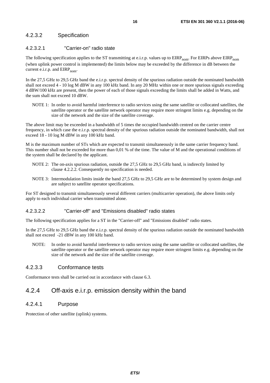### <span id="page-15-0"></span>4.2.3.2 Specification

### 4.2.3.2.1 "Carrier-on" radio state

The following specification applies to the ST transmitting at e.i.r.p. values up to  $EIRP_{nom}$ . For  $EIRP_{som}$ (when uplink power control is implemented) the limits below may be exceeded by the difference in dB between the current e.i.r.p. and  $EIRP_{\text{nom}}$ .

In the 27,5 GHz to 29,5 GHz band the e.i.r.p. spectral density of the spurious radiation outside the nominated bandwidth shall not exceed 4 - 10 log M dBW in any 100 kHz band. In any 20 MHz within one or more spurious signals exceeding 4 dBW/100 kHz are present, then the power of each of those signals exceeding the limits shall be added in Watts, and the sum shall not exceed 10 dBW.

NOTE 1: In order to avoid harmful interference to radio services using the same satellite or collocated satellites, the satellite operator or the satellite network operator may require more stringent limits e.g. depending on the size of the network and the size of the satellite coverage.

The above limit may be exceeded in a bandwidth of 5 times the occupied bandwidth centred on the carrier centre frequency, in which case the e.i.r.p. spectral density of the spurious radiation outside the nominated bandwidth, shall not exceed 18 - 10 log M dBW in any 100 kHz band.

M is the maximum number of STs which are expected to transmit simultaneously in the same carrier frequency band. This number shall not be exceeded for more than 0,01 % of the time. The value of M and the operational conditions of the system shall be declared by the applicant.

- NOTE 2: The on-axis spurious radiation, outside the 27,5 GHz to 29,5 GHz band, is indirectly limited by clause 4.2.2.2. Consequently no specification is needed.
- NOTE 3: Intermodulation limits inside the band 27,5 GHz to 29,5 GHz are to be determined by system design and are subject to satellite operator specifications.

For ST designed to transmit simultaneously several different carriers (multicarrier operation), the above limits only apply to each individual carrier when transmitted alone.

### 4.2.3.2.2 "Carrier-off" and "Emissions disabled" radio states

The following specification applies for a ST in the "Carrier-off" and "Emissions disabled" radio states.

In the 27,5 GHz to 29,5 GHz band the e.i.r.p. spectral density of the spurious radiation outside the nominated bandwidth shall not exceed -21 dBW in any 100 kHz band.

NOTE: In order to avoid harmful interference to radio services using the same satellite or collocated satellites, the satellite operator or the satellite network operator may require more stringent limits e.g. depending on the size of the network and the size of the satellite coverage.

### 4.2.3.3 Conformance tests

Conformance tests shall be carried out in accordance with clause 6.3.

### 4.2.4 Off-axis e.i.r.p. emission density within the band

### 4.2.4.1 Purpose

Protection of other satellite (uplink) systems.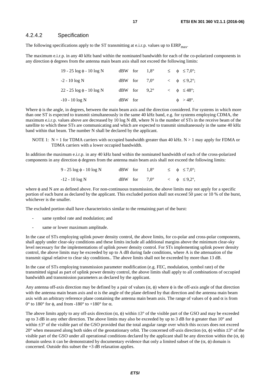### <span id="page-16-0"></span>4.2.4.2 Specification

The following specifications apply to the ST transmitting at e.i.r.p. values up to  $EIRP<sub>max</sub>$ .

The maximum e.i.r.p. in any 40 kHz band within the nominated bandwidth for each of the co-polarized components in any direction φ degrees from the antenna main beam axis shall not exceed the following limits:

| $19 - 25 \log \phi - 10 \log N$ |           | dBW for                 | $1.8^\circ$ |  | $\leq \quad \phi \quad \leq 7.0^{\circ};$ |
|---------------------------------|-----------|-------------------------|-------------|--|-------------------------------------------|
| $-2 - 10 \log N$                |           | $dBW$ for $7.0^{\circ}$ |             |  | $\langle \phi \rangle \leq 9.2^{\circ}$ ; |
| $22 - 25 \log \phi - 10 \log N$ |           | $dBW$ for $9.2^{\circ}$ |             |  | $<$ $\phi$ $\leq$ 48°:                    |
| $-10 - 10 \log N$               | $dBW$ for |                         |             |  | $\phi$ > 48°.                             |

Where φ is the angle, in degrees, between the main beam axis and the direction considered. For systems in which more than one ST is expected to transmit simultaneously in the same 40 kHz band, e.g. for systems employing CDMA, the maximum e.i.r.p. values above are decreased by 10 log N dB, where N is the number of STs in the receive beam of the satellite to which these STs are communicating and which are expected to transmit simultaneously in the same 40 kHz band within that beam. The number N shall be declared by the applicant.

NOTE 1:  $N = 1$  for TDMA carriers with occupied bandwidth greater than 40 kHz.  $N > 1$  may apply for FDMA or TDMA carriers with a lower occupied bandwidth.

In addition the maximum e.i.r.p. in any 40 kHz band within the nominated bandwidth of each of the cross-polarized components in any direction φ degrees from the antenna main beam axis shall not exceed the following limits:

| 9 - 25 $log φ - 10 log N$ | dBW for $1.8^{\circ}$   |  | $\leq \quad \phi \quad \leq 7.0^{\circ};$ |
|---------------------------|-------------------------|--|-------------------------------------------|
| $-12 - 10 \log N$         | $dBW$ for $7.0^{\circ}$ |  | $\lt \phi \leq 9.2^{\circ}$ ,             |

where φ and N are as defined above. For non-continuous transmission, the above limits may not apply for a specific portion of each burst as declared by the applicant. This excluded portion shall not exceed 50 µsec or 10 % of the burst, whichever is the smaller.

The excluded portion shall have characteristics similar to the remaining part of the burst:

- same symbol rate and modulation; and
- same or lower maximum amplitude.

In the case of STs employing uplink power density control, the above limits, for co-polar and cross-polar components, shall apply under clear-sky conditions and these limits include all additional margins above the minimum clear-sky level necessary for the implementations of uplink power density control. For STs implementing uplink power density control, the above limits may be exceeded by up to A dB during fade conditions, where A is the attenuation of the transmit signal relative to clear sky conditions.. The above limits shall not be exceeded by more than 13 dB.

In the case of STs employing transmission parameter modification (e.g. FEC, modulation, symbol rate) of the transmitted signal as part of uplink power density control, the above limits shall apply to all combinations of occupied bandwidth and transmission parameters as declared by the applicant.

Any antenna off-axis direction may be defined by a pair of values  $(\alpha, \phi)$  where  $\phi$  is the off-axis angle of that direction with the antenna main beam axis and  $\alpha$  is the angle of the plane defined by that direction and the antenna main beam axis with an arbitrary reference plane containing the antenna main beam axis. The range of values of  $\phi$  and  $\alpha$  is from  $0^{\circ}$  to 180° for φ, and from -180° to +180° for α.

The above limits apply to any off-axis direction  $(\alpha, \phi)$  within  $\pm 3^{\circ}$  of the visible part of the GSO and may be exceeded up to 3 dB in any other direction. The above limits may also be exceeded by up to 3 dB for  $\phi$  greater than 10 $\degree$  and within  $\pm 3^{\circ}$  of the visible part of the GSO provided that the total angular range over which this occurs does not exceed 20° when measured along both sides of the geostationary orbit. The concerned off-axis direction (α, φ) within  $\pm 3^{\circ}$  of the visible part of the GSO under all operational conditions declared by the applicant shall be any direction within the  $(α, φ)$ domain unless it can be demonstrated by documentary evidence that only a limited subset of the (α, φ) domain is concerned. Outside this subset the +3 dB relaxation applies.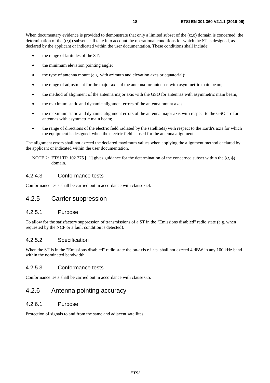<span id="page-17-0"></span>When documentary evidence is provided to demonstrate that only a limited subset of the  $(\alpha, \phi)$  domain is concerned, the determination of the  $(\alpha, \phi)$  subset shall take into account the operational conditions for which the ST is designed, as declared by the applicant or indicated within the user documentation. These conditions shall include:

- the range of latitudes of the ST;
- the minimum elevation pointing angle;
- the type of antenna mount (e.g. with azimuth and elevation axes or equatorial);
- the range of adjustment for the major axis of the antenna for antennas with asymmetric main beam;
- the method of alignment of the antenna major axis with the GSO for antennas with asymmetric main beam;
- the maximum static and dynamic alignment errors of the antenna mount axes;
- the maximum static and dynamic alignment errors of the antenna major axis with respect to the GSO arc for antennas with asymmetric main beam;
- the range of directions of the electric field radiated by the satellite(s) with respect to the Earth's axis for which the equipment is designed, when the electric field is used for the antenna alignment.

The alignment errors shall not exceed the declared maximum values when applying the alignment method declared by the applicant or indicated within the user documentation.

NOTE 2: ETSI TR 102 375 [\[i.1](#page-8-0)] gives guidance for the determination of the concerned subset within the  $(\alpha, \phi)$ domain.

### 4.2.4.3 Conformance tests

Conformance tests shall be carried out in accordance with clause 6.4.

### 4.2.5 Carrier suppression

### 4.2.5.1 Purpose

To allow for the satisfactory suppression of transmissions of a ST in the "Emissions disabled" radio state (e.g. when requested by the NCF or a fault condition is detected).

### 4.2.5.2 Specification

When the ST is in the "Emissions disabled" radio state the on-axis e.i.r.p. shall not exceed 4 dBW in any 100 kHz band within the nominated bandwidth.

### 4.2.5.3 Conformance tests

Conformance tests shall be carried out in accordance with clause 6.5.

### 4.2.6 Antenna pointing accuracy

### 4.2.6.1 Purpose

Protection of signals to and from the same and adjacent satellites.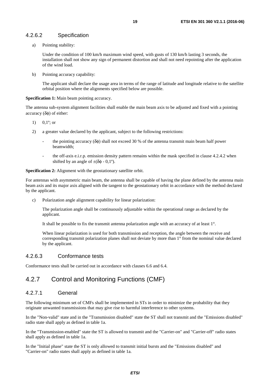### <span id="page-18-0"></span>4.2.6.2 Specification

a) Pointing stability:

 Under the condition of 100 km/h maximum wind speed, with gusts of 130 km/h lasting 3 seconds, the installation shall not show any sign of permanent distortion and shall not need repointing after the application of the wind load.

b) Pointing accuracy capability:

 The applicant shall declare the usage area in terms of the range of latitude and longitude relative to the satellite orbital position where the alignments specified below are possible.

#### **Specification 1:** Main beam pointing accuracy.

The antenna sub-system alignment facilities shall enable the main beam axis to be adjusted and fixed with a pointing accuracy (δφ) of either:

- 1)  $0.1^\circ$ ; or
- 2) a greater value declared by the applicant, subject to the following restrictions:
	- the pointing accuracy ( $\delta\phi$ ) shall not exceed 30 % of the antenna transmit main beam half power beamwidth;
	- the off-axis e.i.r.p. emission density pattern remains within the mask specified in clause 4.2.4.2 when shifted by an angle of  $\pm(\delta\phi - 0.1^{\circ})$ .

**Specification 2:** Alignment with the geostationary satellite orbit.

For antennas with asymmetric main beam, the antenna shall be capable of having the plane defined by the antenna main beam axis and its major axis aligned with the tangent to the geostationary orbit in accordance with the method declared by the applicant.

c) Polarization angle alignment capability for linear polarization:

 The polarization angle shall be continuously adjustable within the operational range as declared by the applicant.

It shall be possible to fix the transmit antenna polarization angle with an accuracy of at least 1°.

 When linear polarization is used for both transmission and reception, the angle between the receive and corresponding transmit polarization planes shall not deviate by more than 1° from the nominal value declared by the applicant.

### 4.2.6.3 Conformance tests

Conformance tests shall be carried out in accordance with clauses 6.6 and 6.4.

### 4.2.7 Control and Monitoring Functions (CMF)

### 4.2.7.1 General

The following minimum set of CMFs shall be implemented in STs in order to minimize the probability that they originate unwanted transmissions that may give rise to harmful interference to other systems.

In the "Non-valid" state and in the "Transmission disabled" state the ST shall not transmit and the "Emissions disabled" radio state shall apply as defined in table 1a.

In the "Transmission-enabled" state the ST is allowed to transmit and the "Carrier-on" and "Carrier-off" radio states shall apply as defined in table 1a.

In the "Initial phase" state the ST is only allowed to transmit initial bursts and the "Emissions disabled" and "Carrier-on" radio states shall apply as defined in table 1a.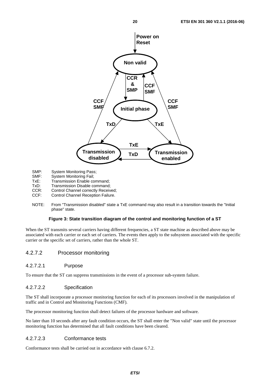<span id="page-19-0"></span>

- SMP: System Monitoring Pass;<br>SMF: System Monitoring Fail;
- SMF: System Monitoring Fail;<br>TxE: Transmission Enable co
- TxE: Transmission Enable command;<br>TxD: Transmission Disable command:
- Transmission Disable command;
- CCR: Control Channel correctly Received;
- CCF: Control Channel Reception Failure.
- NOTE: From "Transmission disabled" state a TxE command may also result in a transition towards the "Initial phase" state.

### **Figure 3: State transition diagram of the control and monitoring function of a ST**

When the ST transmits several carriers having different frequencies, a ST state machine as described above may be associated with each carrier or each set of carriers. The events then apply to the subsystem associated with the specific carrier or the specific set of carriers, rather than the whole ST.

### 4.2.7.2 Processor monitoring

### 4.2.7.2.1 Purpose

To ensure that the ST can suppress transmissions in the event of a processor sub-system failure.

### 4.2.7.2.2 Specification

The ST shall incorporate a processor monitoring function for each of its processors involved in the manipulation of traffic and in Control and Monitoring Functions (CMF).

The processor monitoring function shall detect failures of the processor hardware and software.

No later than 10 seconds after any fault condition occurs, the ST shall enter the "Non valid" state until the processor monitoring function has determined that all fault conditions have been cleared.

### 4.2.7.2.3 Conformance tests

Conformance tests shall be carried out in accordance with clause 6.7.2.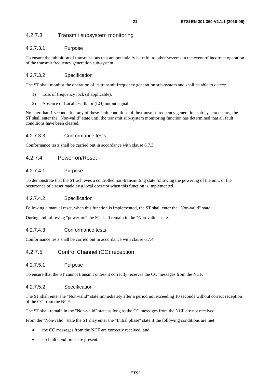### <span id="page-20-0"></span>4.2.7.3 Transmit subsystem monitoring

### 4.2.7.3.1 Purpose

To ensure the inhibition of transmissions that are potentially harmful to other systems in the event of incorrect operation of the transmit frequency generation sub-system.

### 4.2.7.3.2 Specification

The ST shall monitor the operation of its transmit frequency generation sub-system and shall be able to detect:

- 1) Loss of frequency lock (if applicable).
- 2) Absence of Local Oscillator (LO) output signal.

No later than 1 second after any of these fault conditions of the transmit frequency generation sub-system occurs, the ST shall enter the "Non-valid" state until the transmit sub-system monitoring function has determined that all fault conditions have been cleared.

### 4.2.7.3.3 Conformance tests

Conformance tests shall be carried out in accordance with clause 6.7.3.

### 4.2.7.4 Power-on/Reset

### 4.2.7.4.1 Purpose

To demonstrate that the ST achieves a controlled non-transmitting state following the powering of the unit, or the occurrence of a reset made by a local operator when this function is implemented.

### 4.2.7.4.2 Specification

Following a manual reset, when this function is implemented, the ST shall enter the "Non-valid" state.

During and following "power-on" the ST shall remain in the "Non-valid" state.

### 4.2.7.4.3 Conformance tests

Conformance tests shall be carried out in accordance with clause 6.7.4.

### 4.2.7.5 Control Channel (CC) reception

### 4.2.7.5.1 Purpose

To ensure that the ST cannot transmit unless it correctly receives the CC messages from the NCF.

### 4.2.7.5.2 Specification

The ST shall enter the "Non-valid" state immediately after a period not exceeding 10 seconds without correct reception of the CC from the NCF.

The ST shall remain in the "Non-valid" state as long as the CC messages from the NCF are not received.

From the "Non-valid" state the ST may enter the "Initial phase" state if the following conditions are met:

- the CC messages from the NCF are correctly received; and
- no fault conditions are present.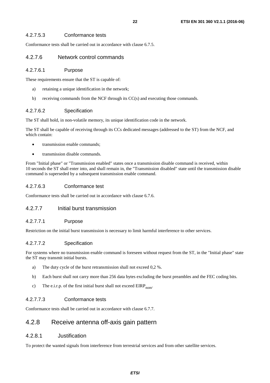### <span id="page-21-0"></span>4.2.7.5.3 Conformance tests

Conformance tests shall be carried out in accordance with clause 6.7.5.

### 4.2.7.6 Network control commands

#### 4.2.7.6.1 Purpose

These requirements ensure that the ST is capable of:

- a) retaining a unique identification in the network;
- b) receiving commands from the NCF through its CC(s) and executing those commands.

### 4.2.7.6.2 Specification

The ST shall hold, in non-volatile memory, its unique identification code in the network.

The ST shall be capable of receiving through its CCs dedicated messages (addressed to the ST) from the NCF, and which contain:

- transmission enable commands;
- transmission disable commands.

From "Initial phase" or "Transmission enabled" states once a transmission disable command is received, within 10 seconds the ST shall enter into, and shall remain in, the "Transmission disabled" state until the transmission disable command is superseded by a subsequent transmission enable command.

### 4.2.7.6.3 Conformance test

Conformance tests shall be carried out in accordance with clause 6.7.6.

### 4.2.7.7 Initial burst transmission

### 4.2.7.7.1 Purpose

Restriction on the initial burst transmission is necessary to limit harmful interference to other services.

### 4.2.7.7.2 Specification

For systems where no transmission enable command is foreseen without request from the ST, in the "Initial phase" state the ST may transmit initial bursts.

- a) The duty cycle of the burst retransmission shall not exceed 0,2 %.
- b) Each burst shall not carry more than 256 data bytes excluding the burst preambles and the FEC coding bits.
- c) The e.i.r.p. of the first initial burst shall not exceed  $EIRP_{\text{nom}}$ .

### 4.2.7.7.3 Conformance tests

Conformance tests shall be carried out in accordance with clause 6.7.7.

### 4.2.8 Receive antenna off-axis gain pattern

### 4.2.8.1 Justification

To protect the wanted signals from interference from terrestrial services and from other satellite services.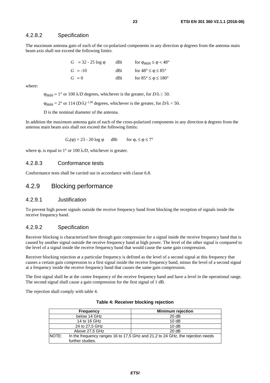### <span id="page-22-0"></span>4.2.8.2 Specification

The maximum antenna gain of each of the co-polarized components in any direction  $\varphi$  degrees from the antenna main beam axis shall not exceed the following limits:

| $G = 32 - 25 \log \phi$ | dBi | for $\varphi_{min} \leq \varphi < 48^{\circ}$ |
|-------------------------|-----|-----------------------------------------------|
| $G = -10$               | dBi | for $48^{\circ} \leq \varphi \leq 85^{\circ}$ |
| $G = 0$                 | dBi | for $85^{\circ} \le \varphi \le 180^{\circ}$  |

where:

 $\Phi_{\text{min}} = 1^{\circ}$  or 100  $\lambda/D$  degrees, whichever is the greater, for  $D/\lambda \ge 50$ .

 $\phi_{min} = 2^{\circ}$  or 114 (D/ $\lambda$ )<sup>-1.09</sup> degrees, whichever is the greater, for  $D/\lambda < 50$ .

D is the nominal diameter of the antenna.

In addition the maximum antenna gain of each of the cross-polarized components in any direction φ degrees from the antenna main beam axis shall not exceed the following limits:

 $G_x(\varphi) = 23 - 20 \log \varphi$  dBi for  $\varphi_r \le \varphi \le 7^\circ$ 

where  $\varphi_r$  is equal to 1° or 100  $\lambda/D$ , whichever is greater.

### 4.2.8.3 Conformance tests

Conformance tests shall be carried out in accordance with clause 6.8.

### 4.2.9 Blocking performance

#### 4.2.9.1 Justification

To prevent high power signals outside the receive frequency band from blocking the reception of signals inside the receive frequency band.

### 4.2.9.2 Specification

Receiver blocking is characterized here through gain compression for a signal inside the receive frequency band that is caused by another signal outside the receive frequency band at high power. The level of the other signal is compared to the level of a signal inside the receive frequency band that would cause the same gain compression.

Receiver blocking rejection at a particular frequency is defined as the level of a second signal at this frequency that causes a certain gain compression to a first signal inside the receive frequency band, minus the level of a second signal at a frequency inside the receive frequency band that causes the same gain compression.

The first signal shall be at the centre frequency of the receive frequency band and have a level in the operational range. The second signal shall cause a gain compression for the first signal of 1 dB.

The rejection shall comply with table 4.

| <b>Frequency</b>          | <b>Minimum rejection</b>                                                       |
|---------------------------|--------------------------------------------------------------------------------|
| below 14 GHz              | 20dB                                                                           |
| 14 to 16 GHz              | 10dB                                                                           |
| 24 to 27,5 GHz            | 10dB                                                                           |
| Above 27,5 GHz            | 20dB                                                                           |
| NOTE:<br>further studies. | In the frequency ranges 16 to 17,5 GHz and 21,2 to 24 GHz, the rejection needs |

|  | Table 4: Receiver blocking rejection |
|--|--------------------------------------|
|  |                                      |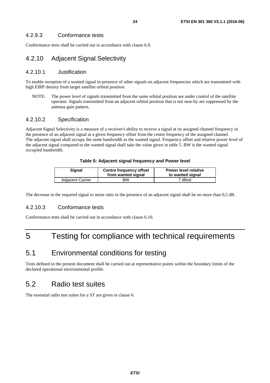<span id="page-23-0"></span>Conformance tests shall be carried out in accordance with clause 6.9.

### 4.2.10 Adjacent Signal Selectivity

### 4.2.10.1 Justification

To enable reception of a wanted signal in presence of other signals on adjacent frequencies which are transmitted with high EIRP density from target satellite orbital position.

NOTE: The power level of signals transmitted from the same orbital position are under control of the satellite operator. Signals transmitted from an adjacent orbital position that is not near-by are suppressed by the antenna gain pattern.

### 4.2.10.2 Specification

Adjacent Signal Selectivity is a measure of a receiver's ability to receive a signal at its assigned channel frequency in the presence of an adjacent signal at a given frequency offset from the centre frequency of the assigned channel. The adjacent signal shall occupy the same bandwidth as the wanted signal. Frequency offset and relative power level of the adjacent signal compared to the wanted signal shall take the value given in table 5. BW is the wanted signal occupied bandwidth.

### **Table 5: Adjacent signal frequency and Power level**

| Signal                  | <b>Centre frequency offset</b><br>from wanted signal | <b>Power level relative</b><br>to wanted signal |
|-------------------------|------------------------------------------------------|-------------------------------------------------|
| <b>Adjacent Carrier</b> | ВW                                                   | 7 dBsd                                          |

The decrease in the required signal to noise ratio in the presence of an adjacent signal shall be no more than 0,5 dB.

### 4.2.10.3 Conformance tests

Conformance tests shall be carried out in accordance with clause 6.10.

# 5 Testing for compliance with technical requirements

# 5.1 Environmental conditions for testing

Tests defined in the present document shall be carried out at representative points within the boundary limits of the declared operational environmental profile.

### 5.2 Radio test suites

The essential radio test suites for a ST are given in clause 6.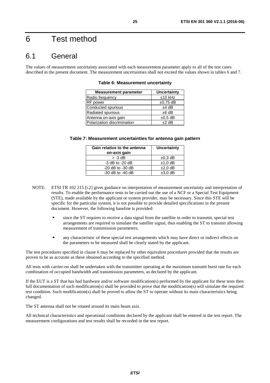# <span id="page-24-0"></span>6 Test method

### 6.1 General

The values of measurement uncertainty associated with each measurement parameter apply to all of the test cases described in the present document. The measurement uncertainties shall not exceed the values shown in tables 6 and 7.

| <b>Measurement parameter</b> | Uncertainty   |
|------------------------------|---------------|
| Radio frequency              | $±10$ kHz     |
| RF power                     | $\pm 0.75$ dB |
| Conducted spurious           | $±4$ dB       |
| Radiated spurious            | $±6$ dB       |
| Antenna on-axis gain         | $\pm 0.5$ dB  |
| Polarization discrimination  | $±2$ dB       |

**Table 6: Measurement uncertainty** 

| Table 7: Measurement uncertainties for antenna gain pattern |  |
|-------------------------------------------------------------|--|
|-------------------------------------------------------------|--|

| Gain relative to the antenna<br>on-axis gain | Uncertainty  |
|----------------------------------------------|--------------|
| $> -3$ dB                                    | $\pm 0.3$ dB |
| $-3$ dB to $-20$ dB                          | $±1,0$ dB    |
| $-20$ dB to $-30$ dB                         | $±2,0$ dB    |
| $-30$ dB to $-40$ dB                         | $±3.0$ dB    |

- NOTE: ETSI TR 102 215 [\[i.2](#page-8-0)] gives guidance on interpretation of measurement uncertainty and interpretation of results. To enable the performance tests to be carried out the use of a NCF or a Special Test Equipment (STE), made available by the applicant or system provider, may be necessary. Since this STE will be specific for the particular system, it is not possible to provide detailed specifications in the present document. However, the following baseline is provided:
	- since the ST requires to receive a data signal from the satellite in order to transmit, special test arrangements are required to simulate the satellite signal, thus enabling the ST to transmit allowing measurement of transmission parameters;
	- any characteristic of these special test arrangements which may have direct or indirect effects on the parameters to be measured shall be clearly stated by the applicant.

The test procedures specified in clause 6 may be replaced by other equivalent procedures provided that the results are proven to be as accurate as these obtained according to the specified method.

All tests with carrier-on shall be undertaken with the transmitter operating at the maximum transmit burst rate for each combination of occupied bandwidth and transmission parameters, as declared by the applicant.

If the EUT is a ST that has had hardware and/or software modification(s) performed by the applicant for these tests then full documentation of such modification(s) shall be provided to prove that the modification(s) will simulate the required test condition. Such modification(s) shall be proved to allow the ST to operate without its main characteristics being changed.

The ST antenna shall not be rotated around its main beam axis.

All technical characteristics and operational conditions declared by the applicant shall be entered in the test report. The measurement configurations and test results shall be recorded in the test report.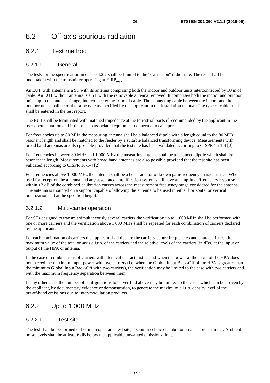# <span id="page-25-0"></span>6.2 Off-axis spurious radiation

### 6.2.1 Test method

### 6.2.1.1 General

The tests for the specification in clause 4.2.2 shall be limited to the "Carrier-on" radio state. The tests shall be undertaken with the transmitter operating at  $EIRP<sub>max</sub>$ .

An EUT with antenna is a ST with its antenna comprising both the indoor and outdoor units interconnected by 10 m of cable. An EUT without antenna is a ST with the removable antenna removed. It comprises both the indoor and outdoor units, up to the antenna flange, interconnected by 10 m of cable. The connecting cable between the indoor and the outdoor units shall be of the same type as specified by the applicant in the installation manual. The type of cable used shall be entered in the test report.

The EUT shall be terminated with matched impedance at the terrestrial ports if recommended by the applicant in the user documentation and if there is no associated equipment connected to each port.

For frequencies up to 80 MHz the measuring antenna shall be a balanced dipole with a length equal to the 80 MHz resonant length and shall be matched to the feeder by a suitable balanced transforming device. Measurements with broad band antennas are also possible provided that the test site has been validated according to CISPR 16-1-4 [\[2](#page-8-0)].

For frequencies between 80 MHz and 1 000 MHz the measuring antenna shall be a balanced dipole which shall be resonant in length. Measurements with broad band antennas are also possible provided that the test site has been validated according to CISPR 16-1-4 [[2\]](#page-8-0).

For frequencies above 1 000 MHz the antenna shall be a horn radiator of known gain/frequency characteristics. When used for reception the antenna and any associated amplification system shall have an amplitude/frequency response within  $\pm 2$  dB of the combined calibration curves across the measurement frequency range considered for the antenna. The antenna is mounted on a support capable of allowing the antenna to be used in either horizontal or vertical polarization and at the specified height.

### 6.2.1.2 Multi-carrier operation

For STs designed to transmit simultaneously several carriers the verification up to 1 000 MHz shall be performed with one or more carriers and the verification above 1 000 MHz shall be repeated for each combination of carriers declared by the applicant.

For each combination of carriers the applicant shall declare the carriers' centre frequencies and characteristics, the maximum value of the total on-axis e.i.r.p. of the carriers and the relative levels of the carriers (in dBs) at the input or output of the HPA or antenna.

In the case of combinations of carriers with identical characteristics and when the power at the input of the HPA does not exceed the maximum input power with two carriers (i.e. when the Global Input Back-Off of the HPA is greater than the minimum Global Input Back-Off with two carriers), the verification may be limited to the case with two carriers and with the maximum frequency separation between them.

In any other case, the number of configurations to be verified above may be limited to the cases which can be proven by the applicant, by documentary evidence or demonstration, to generate the maximum e.i.r.p. density level of the out-of-band emissions due to inter-modulation products.

### 6.2.2 Up to 1 000 MHz

### 6.2.2.1 Test site

The test shall be performed either in an open area test site, a semi-anechoic chamber or an anechoic chamber. Ambient noise levels shall be at least 6 dB below the applicable unwanted emissions limit.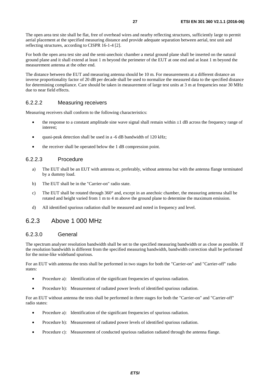<span id="page-26-0"></span>The open area test site shall be flat, free of overhead wires and nearby reflecting structures, sufficiently large to permit aerial placement at the specified measuring distance and provide adequate separation between aerial, test unit and reflecting structures, according to CISPR 16-1-4 [\[2](#page-8-0)].

For both the open area test site and the semi-anechoic chamber a metal ground plane shall be inserted on the natural ground plane and it shall extend at least 1 m beyond the perimeter of the EUT at one end and at least 1 m beyond the measurement antenna at the other end.

The distance between the EUT and measuring antenna should be 10 m. For measurements at a different distance an inverse proportionality factor of 20 dB per decade shall be used to normalize the measured data to the specified distance for determining compliance. Care should be taken in measurement of large test units at 3 m at frequencies near 30 MHz due to near field effects.

### 6.2.2.2 Measuring receivers

Measuring receivers shall conform to the following characteristics:

- the response to a constant amplitude sine wave signal shall remain within  $\pm 1$  dB across the frequency range of interest;
- quasi-peak detection shall be used in a -6 dB bandwidth of 120 kHz;
- the receiver shall be operated below the 1 dB compression point.

### 6.2.2.3 Procedure

- a) The EUT shall be an EUT with antenna or, preferably, without antenna but with the antenna flange terminated by a dummy load.
- b) The EUT shall be in the "Carrier-on" radio state.
- c) The EUT shall be rotated through 360° and, except in an anechoic chamber, the measuring antenna shall be rotated and height varied from 1 m to 4 m above the ground plane to determine the maximum emission.
- d) All identified spurious radiation shall be measured and noted in frequency and level.

### 6.2.3 Above 1 000 MHz

### 6.2.3.0 General

The spectrum analyser resolution bandwidth shall be set to the specified measuring bandwidth or as close as possible. If the resolution bandwidth is different from the specified measuring bandwidth, bandwidth correction shall be performed for the noise-like wideband spurious.

For an EUT with antenna the tests shall be performed in two stages for both the "Carrier-on" and "Carrier-off" radio states:

- Procedure a): Identification of the significant frequencies of spurious radiation.
- Procedure b): Measurement of radiated power levels of identified spurious radiation.

For an EUT without antenna the tests shall be performed in three stages for both the "Carrier-on" and "Carrier-off" radio states:

- Procedure a): Identification of the significant frequencies of spurious radiation.
- Procedure b): Measurement of radiated power levels of identified spurious radiation.
- Procedure c): Measurement of conducted spurious radiation radiated through the antenna flange.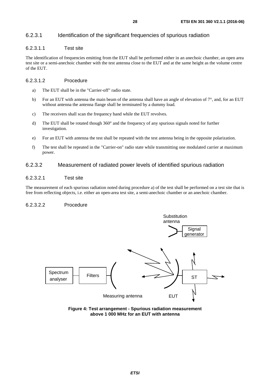### <span id="page-27-0"></span>6.2.3.1 Identification of the significant frequencies of spurious radiation

### 6.2.3.1.1 Test site

The identification of frequencies emitting from the EUT shall be performed either in an anechoic chamber, an open area test site or a semi-anechoic chamber with the test antenna close to the EUT and at the same height as the volume centre of the EUT.

#### 6.2.3.1.2 Procedure

- a) The EUT shall be in the "Carrier-off" radio state.
- b) For an EUT with antenna the main beam of the antenna shall have an angle of elevation of  $7^\circ$ , and, for an EUT without antenna the antenna flange shall be terminated by a dummy load.
- c) The receivers shall scan the frequency band while the EUT revolves.
- d) The EUT shall be rotated though 360° and the frequency of any spurious signals noted for further investigation.
- e) For an EUT with antenna the test shall be repeated with the test antenna being in the opposite polarization.
- f) The test shall be repeated in the "Carrier-on" radio state while transmitting one modulated carrier at maximum power.

### 6.2.3.2 Measurement of radiated power levels of identified spurious radiation

### 6.2.3.2.1 Test site

The measurement of each spurious radiation noted during procedure a) of the test shall be performed on a test site that is free from reflecting objects, i.e. either an open-area test site, a semi-anechoic chamber or an anechoic chamber.

#### 6.2.3.2.2 Procedure



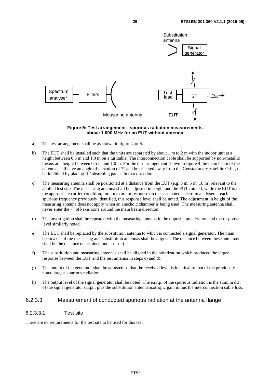<span id="page-28-0"></span>

#### **Figure 5: Test arrangement - spurious radiation measurements above 1 000 MHz for an EUT without antenna**

- a) The test arrangement shall be as shown in figure 4 or 5.
- b) The EUT shall be installed such that the units are separated by about 1 m to 2 m with the indoor unit at a height between 0.5 m and 1.0 m on a turntable. The interconnection cable shall be supported by non-metallic means at a height between 0,5 m and 1,0 m. For the test arrangement shown in figure 4 the main beam of the antenna shall have an angle of elevation of 7° and be oriented away from the Geostationary Satellite Orbit, or be inhibited by placing RF absorbing panels in that direction.
- c) The measuring antenna shall be positioned at a distance from the EUT (e.g. 3 m, 5 m, 10 m) relevant to the applied test site. The measuring antenna shall be adjusted in height and the EUT rotated, while the EUT is in the appropriate carrier condition, for a maximum response on the associated spectrum analyser at each spurious frequency previously identified, this response level shall be noted. The adjustment in height of the measuring antenna does not apply when an anechoic chamber is being used. The measuring antenna shall never enter the 7° off-axis cone around the main beam direction.
- d) The investigation shall be repeated with the measuring antenna in the opposite polarization and the response level similarly noted.
- e) The EUT shall be replaced by the substitution antenna to which is connected a signal generator. The main beam axes of the measuring and substitution antennas shall be aligned. The distance between these antennas shall be the distance determined under test c).
- f) The substitution and measuring antennas shall be aligned in the polarization which produced the larger response between the EUT and the test antenna in steps c) and d).
- g) The output of the generator shall be adjusted so that the received level is identical to that of the previously noted largest spurious radiation.
- h) The output level of the signal generator shall be noted. The e.i.r.p. of the spurious radiation is the sum, in dB, of the signal generator output plus the substitution antenna isotropic gain minus the interconnection cable loss.

### 6.2.3.3 Measurement of conducted spurious radiation at the antenna flange

#### 6.2.3.3.1 Test site

There are no requirements for the test site to be used for this test.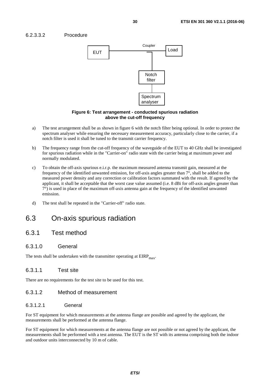### <span id="page-29-0"></span>6.2.3.3.2 Procedure



#### **Figure 6: Test arrangement - conducted spurious radiation above the cut-off frequency**

- a) The test arrangement shall be as shown in figure 6 with the notch filter being optional. In order to protect the spectrum analyser while ensuring the necessary measurement accuracy, particularly close to the carrier, if a notch filter is used it shall be tuned to the transmit carrier frequency.
- b) The frequency range from the cut-off frequency of the waveguide of the EUT to 40 GHz shall be investigated for spurious radiation while in the "Carrier-on" radio state with the carrier being at maximum power and normally modulated.
- c) To obtain the off-axis spurious e.i.r.p. the maximum measured antenna transmit gain, measured at the frequency of the identified unwanted emission, for off-axis angles greater than 7°, shall be added to the measured power density and any correction or calibration factors summated with the result. If agreed by the applicant, it shall be acceptable that the worst case value assumed (i.e. 8 dBi for off-axis angles greater than 7°) is used in place of the maximum off-axis antenna gain at the frequency of the identified unwanted emission.
- d) The test shall be repeated in the "Carrier-off" radio state.

### 6.3 On-axis spurious radiation

### 6.3.1 Test method

### 6.3.1.0 General

The tests shall be undertaken with the transmitter operating at  $EIRP<sub>max</sub>$ .

### 6.3.1.1 Test site

There are no requirements for the test site to be used for this test.

### 6.3.1.2 Method of measurement

#### 6.3.1.2.1 General

For ST equipment for which measurements at the antenna flange are possible and agreed by the applicant, the measurements shall be performed at the antenna flange.

For ST equipment for which measurements at the antenna flange are not possible or not agreed by the applicant, the measurements shall be performed with a test antenna. The EUT is the ST with its antenna comprising both the indoor and outdoor units interconnected by 10 m of cable.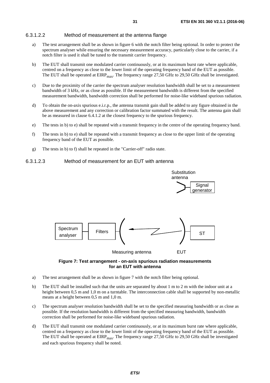#### <span id="page-30-0"></span>6.3.1.2.2 Method of measurement at the antenna flange

- a) The test arrangement shall be as shown in figure 6 with the notch filter being optional. In order to protect the spectrum analyser while ensuring the necessary measurement accuracy, particularly close to the carrier, if a notch filter is used it shall be tuned to the transmit carrier frequency.
- b) The EUT shall transmit one modulated carrier continuously, or at its maximum burst rate where applicable, centred on a frequency as close to the lower limit of the operating frequency band of the EUT as possible. The EUT shall be operated at  $EIRP<sub>max</sub>$ . The frequency range 27,50 GHz to 29,50 GHz shall be investigated.
- c) Due to the proximity of the carrier the spectrum analyser resolution bandwidth shall be set to a measurement bandwidth of 3 kHz, or as close as possible. If the measurement bandwidth is different from the specified measurement bandwidth, bandwidth correction shall be performed for noise-like wideband spurious radiation.
- d) To obtain the on-axis spurious e.i.r.p., the antenna transmit gain shall be added to any figure obtained in the above measurement and any correction or calibration factor summated with the result. The antenna gain shall be as measured in clause 6.4.1.2 at the closest frequency to the spurious frequency.
- e) The tests in b) to e) shall be repeated with a transmit frequency in the centre of the operating frequency band.
- f) The tests in b) to e) shall be repeated with a transmit frequency as close to the upper limit of the operating frequency band of the EUT as possible.
- g) The tests in b) to f) shall be repeated in the "Carrier-off" radio state.

#### 6.3.1.2.3 Method of measurement for an EUT with antenna



#### **Figure 7: Test arrangement - on-axis spurious radiation measurements for an EUT with antenna**

- a) The test arrangement shall be as shown in figure 7 with the notch filter being optional.
- b) The EUT shall be installed such that the units are separated by about 1 m to 2 m with the indoor unit at a height between 0,5 m and 1,0 m on a turntable. The interconnection cable shall be supported by non-metallic means at a height between 0,5 m and 1,0 m.
- c) The spectrum analyser resolution bandwidth shall be set to the specified measuring bandwidth or as close as possible. If the resolution bandwidth is different from the specified measuring bandwidth, bandwidth correction shall be performed for noise-like wideband spurious radiation.
- d) The EUT shall transmit one modulated carrier continuously, or at its maximum burst rate where applicable, centred on a frequency as close to the lower limit of the operating frequency band of the EUT as possible. The EUT shall be operated at  $EIRP<sub>max</sub>$ . The frequency range 27,50 GHz to 29,50 GHz shall be investigated and each spurious frequency shall be noted.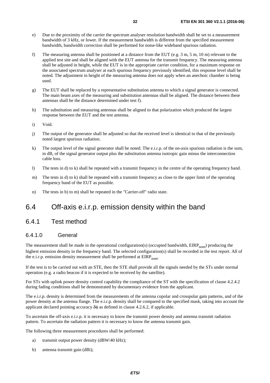- <span id="page-31-0"></span>e) Due to the proximity of the carrier the spectrum analyser resolution bandwidth shall be set to a measurement bandwidth of 3 kHz, or lower. If the measurement bandwidth is different from the specified measurement bandwidth, bandwidth correction shall be performed for noise-like wideband spurious radiation.
- f) The measuring antenna shall be positioned at a distance from the EUT (e.g. 3 m, 5 m, 10 m) relevant to the applied test site and shall be aligned with the EUT antenna for the transmit frequency. The measuring antenna shall be adjusted in height, while the EUT is in the appropriate carrier condition, for a maximum response on the associated spectrum analyser at each spurious frequency previously identified, this response level shall be noted. The adjustment in height of the measuring antenna does not apply when an anechoic chamber is being used.
- g) The EUT shall be replaced by a representative substitution antenna to which a signal generator is connected. The main beam axes of the measuring and substitution antennas shall be aligned. The distance between these antennas shall be the distance determined under test f).
- h) The substitution and measuring antennas shall be aligned to that polarization which produced the largest response between the EUT and the test antenna.
- i) Void.
- j) The output of the generator shall be adjusted so that the received level is identical to that of the previously noted largest spurious radiation.
- k) The output level of the signal generator shall be noted. The e.i.r.p. of the on-axis spurious radiation is the sum, in dB, of the signal generator output plus the substitution antenna isotropic gain minus the interconnection cable loss.
- l) The tests in d) to k) shall be repeated with a transmit frequency in the centre of the operating frequency band.
- m) The tests in d) to k) shall be repeated with a transmit frequency as close to the upper limit of the operating frequency band of the EUT as possible.
- n) The tests in b) to m) shall be repeated in the "Carrier-off" radio state.

### 6.4 Off-axis e.i.r.p. emission density within the band

### 6.4.1 Test method

### 6.4.1.0 General

The measurement shall be made in the operational configuration(s) (occupied bandwidth,  $EIRP_{nom}$ ) producing the highest emission density in the frequency band. The selected configuration(s) shall be recorded in the test report. All of the e.i.r.p. emission density measurement shall be performed at  $EIRP_{nom}$ .

If the test is to be carried out with an STE, then the STE shall provide all the signals needed by the STs under normal operation (e.g. a radio beacon if it is expected to be received by the satellite).

For STs with uplink power density control capability the compliance of the ST with the specification of clause 4.2.4.2 during fading conditions shall be demonstrated by documentary evidence from the applicant.

The e.i.r.p. density is determined from the measurements of the antenna copolar and crosspolar gain patterns, and of the power density at the antenna flange. The e.i.r.p. density shall be compared to the specified mask, taking into account the applicant declared pointing accuracy  $\delta\phi$  as defined in clause 4.2.6.2, if applicable.

To ascertain the off-axis e.i.r.p. it is necessary to know the transmit power density and antenna transmit radiation pattern. To ascertain the radiation pattern it is necessary to know the antenna transmit gain.

The following three measurement procedures shall be performed:

- a) transmit output power density (dBW/40 kHz);
- b) antenna transmit gain (dBi);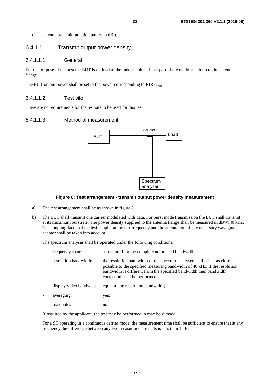<span id="page-32-0"></span>c) antenna transmit radiation patterns (dBi).

### 6.4.1.1 Transmit output power density

#### 6.4.1.1.1 General

For the purpose of this test the EUT is defined as the indoor unit and that part of the outdoor unit up to the antenna flange.

The EUT output power shall be set to the power corresponding to  $EIRP_{\text{nom}}$ .

### 6.4.1.1.2 Test site

There are no requirements for the test site to be used for this test.

#### 6.4.1.1.3 Method of measurement



#### **Figure 8: Test arrangement - transmit output power density measurement**

- a) The test arrangement shall be as shown in figure 8.
- b) The EUT shall transmit one carrier modulated with data. For burst mode transmission the EUT shall transmit at its maximum burstrate. The power density supplied to the antenna flange shall be measured in dBW/40 kHz. The coupling factor of the test coupler at the test frequency and the attenuation of any necessary waveguide adapter shall be taken into account.

The spectrum analyser shall be operated under the following conditions:

| frequency span:       | as required for the complete nominated bandwidth;                                                                                                                                                                                                                |
|-----------------------|------------------------------------------------------------------------------------------------------------------------------------------------------------------------------------------------------------------------------------------------------------------|
| resolution bandwidth: | the resolution bandwidth of the spectrum analyser shall be set as close as<br>possible to the specified measuring bandwidth of 40 kHz. If the resolution<br>bandwidth is different from the specified bandwidth then bandwidth<br>correction shall be performed; |
|                       | display/video bandwidth: equal to the resolution bandwidth;                                                                                                                                                                                                      |
| averaging:            | yes;                                                                                                                                                                                                                                                             |
| max hold:             | no.                                                                                                                                                                                                                                                              |

If required by the applicant, the test may be performed in max hold mode.

 For a ST operating in a continuous carrier mode, the measurement time shall be sufficient to ensure that at any frequency the difference between any two measurement results is less than 1 dB.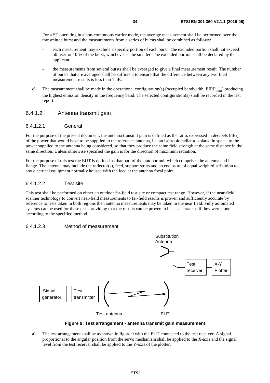<span id="page-33-0"></span> For a ST operating in a non-continuous carrier mode, the average measurement shall be performed over the transmitted burst and the measurements from a series of bursts shall be combined as follows:

- each measurement may exclude a specific portion of each burst. The excluded portion shall not exceed 50 µsec or 10 % of the burst, whichever is the smaller. The excluded portion shall be declared by the applicant;
- the measurements from several bursts shall be averaged to give a final measurement result. The number of bursts that are averaged shall be sufficient to ensure that the difference between any two final measurement results is less than 1 dB.
- c) The measurement shall be made in the operational configuration(s) (occupied bandwidth,  $EIRP_{nom}$ ) producing the highest emission density in the frequency band. The selected configuration(s) shall be recorded in the test report.

### 6.4.1.2 Antenna transmit gain

#### 6.4.1.2.1 General

For the purpose of the present document, the antenna transmit gain is defined as the ratio, expressed in decibels (dBi), of the power that would have to be supplied to the reference antenna, i.e. an isotropic radiator isolated in space, to the power supplied to the antenna being considered, so that they produce the same field strength at the same distance in the same direction. Unless otherwise specified the gain is for the direction of maximum radiation.

For the purpose of this test the EUT is defined as that part of the outdoor unit which comprises the antenna and its flange. The antenna may include the reflector(s), feed, support struts and an enclosure of equal weight/distribution to any electrical equipment normally housed with the feed at the antenna focal point.

### 6.4.1.2.2 Test site

This test shall be performed on either an outdoor far-field test site or compact test range. However, if the near-field scanner technology to convert near-field measurements to far-field results is proven and sufficiently accurate by reference to tests taken in both regions then antenna measurements may be taken in the near field. Fully automated systems can be used for these tests providing that the results can be proven to be as accurate as if they were done according to the specified method.

### 6.4.1.2.3 Method of measurement



**Figure 9: Test arrangement - antenna transmit gain measurement** 

a) The test arrangement shall be as shown in figure 9 with the EUT connected to the test receiver. A signal proportional to the angular position from the servo mechanism shall be applied to the X-axis and the signal level from the test receiver shall be applied to the Y-axis of the plotter.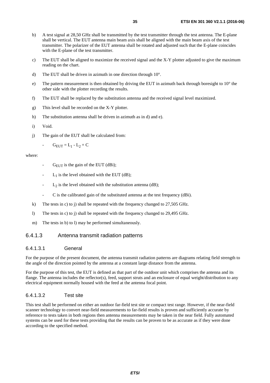- <span id="page-34-0"></span>b) A test signal at 28,50 GHz shall be transmitted by the test transmitter through the test antenna. The E-plane shall be vertical. The EUT antenna main beam axis shall be aligned with the main beam axis of the test transmitter. The polarizer of the EUT antenna shall be rotated and adjusted such that the E-plane coincides with the E-plane of the test transmitter.
- c) The EUT shall be aligned to maximize the received signal and the X-Y plotter adjusted to give the maximum reading on the chart.
- d) The EUT shall be driven in azimuth in one direction through 10°.
- e) The pattern measurement is then obtained by driving the EUT in azimuth back through boresight to 10° the other side with the plotter recording the results.
- f) The EUT shall be replaced by the substitution antenna and the received signal level maximized.
- g) This level shall be recorded on the X-Y plotter.
- h) The substitution antenna shall be driven in azimuth as in d) and e).
- i) Void.
- j) The gain of the EUT shall be calculated from:

- 
$$
G_{EUT} = L_1 - L_2 + C
$$

#### where:

- $G_{\text{EIT}}$  is the gain of the EUT (dBi);
- $L_1$  is the level obtained with the EUT (dB);
- $L_2$  is the level obtained with the substitution antenna (dB);
- C is the calibrated gain of the substituted antenna at the test frequency (dBi).
- k) The tests in c) to j) shall be repeated with the frequency changed to 27,505 GHz.
- l) The tests in c) to j) shall be repeated with the frequency changed to 29,495 GHz.
- m) The tests in b) to l) may be performed simultaneously.

### 6.4.1.3 Antenna transmit radiation patterns

#### 6.4.1.3.1 General

For the purpose of the present document, the antenna transmit radiation patterns are diagrams relating field strength to the angle of the direction pointed by the antenna at a constant large distance from the antenna.

For the purpose of this test, the EUT is defined as that part of the outdoor unit which comprises the antenna and its flange. The antenna includes the reflector(s), feed, support struts and an enclosure of equal weight/distribution to any electrical equipment normally housed with the feed at the antenna focal point.

#### 6.4.1.3.2 Test site

This test shall be performed on either an outdoor far-field test site or compact test range. However, if the near-field scanner technology to convert near-field measurements to far-field results is proven and sufficiently accurate by reference to tests taken in both regions then antenna measurements may be taken in the near field. Fully automated systems can be used for these tests providing that the results can be proven to be as accurate as if they were done according to the specified method.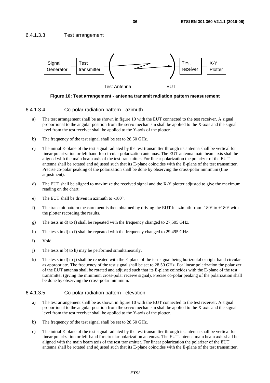### <span id="page-35-0"></span>6.4.1.3.3 Test arrangement



**Figure 10: Test arrangement - antenna transmit radiation pattern measurement** 

#### 6.4.1.3.4 Co-polar radiation pattern - azimuth

- a) The test arrangement shall be as shown in figure 10 with the EUT connected to the test receiver. A signal proportional to the angular position from the servo mechanism shall be applied to the X-axis and the signal level from the test receiver shall be applied to the Y-axis of the plotter.
- b) The frequency of the test signal shall be set to 28,50 GHz.
- c) The initial E-plane of the test signal radiated by the test transmitter through its antenna shall be vertical for linear polarization or left hand for circular polarization antennas. The EUT antenna main beam axis shall be aligned with the main beam axis of the test transmitter. For linear polarization the polarizer of the EUT antenna shall be rotated and adjusted such that its E-plane coincides with the E-plane of the test transmitter. Precise co-polar peaking of the polarization shall be done by observing the cross-polar minimum (fine adjustment).
- d) The EUT shall be aligned to maximize the received signal and the X-Y plotter adjusted to give the maximum reading on the chart.
- e) The EUT shall be driven in azimuth to -180°.
- f) The transmit pattern measurement is then obtained by driving the EUT in azimuth from  $-180^\circ$  to  $+180^\circ$  with the plotter recording the results.
- g) The tests in d) to f) shall be repeated with the frequency changed to 27,505 GHz.
- h) The tests in d) to f) shall be repeated with the frequency changed to 29,495 GHz.
- i) Void.
- j) The tests in b) to h) may be performed simultaneously.
- k) The tests in d) to j) shall be repeated with the E-plane of the test signal being horizontal or right hand circular as appropriate. The frequency of the test signal shall be set to 28,50 GHz. For linear polarization the polarizer of the EUT antenna shall be rotated and adjusted such that its E-plane coincides with the E-plane of the test transmitter (giving the minimum cross-polar receive signal). Precise co-polar peaking of the polarization shall be done by observing the cross-polar minimum.

#### 6.4.1.3.5 Co-polar radiation pattern - elevation

- a) The test arrangement shall be as shown in figure 10 with the EUT connected to the test receiver. A signal proportional to the angular position from the servo mechanism shall be applied to the X-axis and the signal level from the test receiver shall be applied to the Y-axis of the plotter.
- b) The frequency of the test signal shall be set to 28,50 GHz.
- c) The initial E-plane of the test signal radiated by the test transmitter through its antenna shall be vertical for linear polarization or left-hand for circular polarization antennas. The EUT antenna main beam axis shall be aligned with the main beam axis of the test transmitter. For linear polarization the polarizer of the EUT antenna shall be rotated and adjusted such that its E-plane coincides with the E-plane of the test transmitter.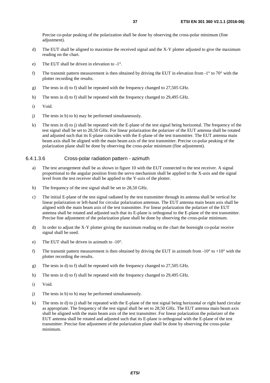<span id="page-36-0"></span>Precise co-polar peaking of the polarization shall be done by observing the cross-polar minimum (fine adjustment).

- d) The EUT shall be aligned to maximize the received signal and the X-Y plotter adjusted to give the maximum reading on the chart.
- e) The EUT shall be driven in elevation to -1°.
- f) The transmit pattern measurement is then obtained by driving the EUT in elevation from  $-1^\circ$  to 70° with the plotter recording the results.
- g) The tests in d) to f) shall be repeated with the frequency changed to 27,505 GHz.
- h) The tests in d) to f) shall be repeated with the frequency changed to 29,495 GHz.
- i) Void.
- j) The tests in b) to h) may be performed simultaneously.
- k) The tests in d) to j) shall be repeated with the E-plane of the test signal being horizontal. The frequency of the test signal shall be set to 28,50 GHz. For linear polarization the polarizer of the EUT antenna shall be rotated and adjusted such that its E-plane coincides with the E-plane of the test transmitter. The EUT antenna main beam axis shall be aligned with the main beam axis of the test transmitter. Precise co-polar peaking of the polarization plane shall be done by observing the cross-polar minimum (fine adjustment).

#### 6.4.1.3.6 Cross-polar radiation pattern - azimuth

- a) The test arrangement shall be as shown in figure 10 with the EUT connected to the test receiver. A signal proportional to the angular position from the servo mechanism shall be applied to the X-axis and the signal level from the test receiver shall be applied to the Y-axis of the plotter.
- b) The frequency of the test signal shall be set to 28,50 GHz.
- c) The initial E-plane of the test signal radiated by the test transmitter through its antenna shall be vertical for linear polarization or left-hand for circular polarization antennas. The EUT antenna main beam axis shall be aligned with the main beam axis of the test transmitter. For linear polarization the polarizer of the EUT antenna shall be rotated and adjusted such that its E-plane is orthogonal to the E-plane of the test transmitter. Precise fine adjustment of the polarization plane shall be done by observing the cross-polar minimum.
- d) In order to adjust the X-Y plotter giving the maximum reading on the chart the boresight co-polar receive signal shall be used.
- e) The EUT shall be driven in azimuth to -10°.
- f) The transmit pattern measurement is then obtained by driving the EUT in azimuth from  $-10^{\circ}$  to  $+10^{\circ}$  with the plotter recording the results.
- g) The tests in d) to f) shall be repeated with the frequency changed to 27,505 GHz.
- h) The tests in d) to f) shall be repeated with the frequency changed to 29,495 GHz.
- i) Void.
- j) The tests in b) to h) may be performed simultaneously.
- k) The tests in d) to j) shall be repeated with the E-plane of the test signal being horizontal or right hand circular as appropriate. The frequency of the test signal shall be set to 28,50 GHz. The EUT antenna main beam axis shall be aligned with the main beam axis of the test transmitter. For linear polarization the polarizer of the EUT antenna shall be rotated and adjusted such that its E-plane is orthogonal with the E-plane of the test transmitter. Precise fine adjustment of the polarization plane shall be done by observing the cross-polar minimum.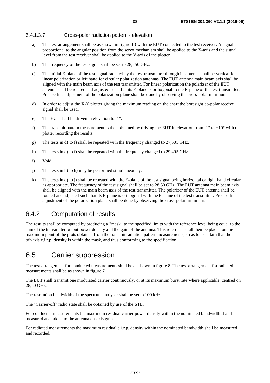### <span id="page-37-0"></span>6.4.1.3.7 Cross-polar radiation pattern - elevation

- a) The test arrangement shall be as shown in figure 10 with the EUT connected to the test receiver. A signal proportional to the angular position from the servo mechanism shall be applied to the X-axis and the signal level from the test receiver shall be applied to the Y-axis of the plotter.
- b) The frequency of the test signal shall be set to 28,550 GHz.
- c) The initial E-plane of the test signal radiated by the test transmitter through its antenna shall be vertical for linear polarization or left hand for circular polarization antennas. The EUT antenna main beam axis shall be aligned with the main beam axis of the test transmitter. For linear polarization the polarizer of the EUT antenna shall be rotated and adjusted such that its E-plane is orthogonal to the E-plane of the test transmitter. Precise fine adjustment of the polarization plane shall be done by observing the cross-polar minimum.
- d) In order to adjust the X-Y plotter giving the maximum reading on the chart the boresight co-polar receive signal shall be used.
- e) The EUT shall be driven in elevation to -1°.
- f) The transmit pattern measurement is then obtained by driving the EUT in elevation from  $-1^\circ$  to  $+10^\circ$  with the plotter recording the results.
- g) The tests in d) to f) shall be repeated with the frequency changed to 27,505 GHz.
- h) The tests in d) to f) shall be repeated with the frequency changed to 29,495 GHz.
- i) Void.
- j) The tests in b) to h) may be performed simultaneously.
- k) The tests in d) to j) shall be repeated with the E-plane of the test signal being horizontal or right hand circular as appropriate. The frequency of the test signal shall be set to 28,50 GHz. The EUT antenna main beam axis shall be aligned with the main beam axis of the test transmitter. The polarizer of the EUT antenna shall be rotated and adjusted such that its E-plane is orthogonal with the E-plane of the test transmitter. Precise fine adjustment of the polarization plane shall be done by observing the cross-polar minimum.

### 6.4.2 Computation of results

The results shall be computed by producing a "mask" to the specified limits with the reference level being equal to the sum of the transmitter output power density and the gain of the antenna. This reference shall then be placed on the maximum point of the plots obtained from the transmit radiation pattern measurements, so as to ascertain that the off-axis e.i.r.p. density is within the mask, and thus conforming to the specification.

# 6.5 Carrier suppression

The test arrangement for conducted measurements shall be as shown in figure 8. The test arrangement for radiated measurements shall be as shown in figure 7.

The EUT shall transmit one modulated carrier continuously, or at its maximum burst rate where applicable, centred on 28,50 GHz.

The resolution bandwidth of the spectrum analyser shall be set to 100 kHz.

The "Carrier-off" radio state shall be obtained by use of the STE.

For conducted measurements the maximum residual carrier power density within the nominated bandwidth shall be measured and added to the antenna on-axis gain.

For radiated measurements the maximum residual e.i.r.p. density within the nominated bandwidth shall be measured and recorded.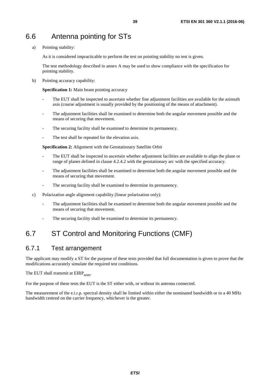<span id="page-38-0"></span>a) Pointing stability:

As it is considered impracticable to perform the test on pointing stability no test is given.

 The test methodology described in annex A may be used to show compliance with the specification for pointing stability.

b) Pointing accuracy capability:

**Specification 1:** Main beam pointing accuracy

- The EUT shall be inspected to ascertain whether fine adjustment facilities are available for the azimuth axis (coarse adjustment is usually provided by the positioning of the means of attachment).
- The adjustment facilities shall be examined to determine both the angular movement possible and the means of securing that movement.
- The securing facility shall be examined to determine its permanency.
- The test shall be repeated for the elevation axis.

**Specification 2:** Alignment with the Geostationary Satellite Orbit

- The EUT shall be inspected to ascertain whether adjustment facilities are available to align the plane or range of planes defined in clause 4.2.4.2 with the geostationary arc with the specified accuracy.
- The adjustment facilities shall be examined to determine both the angular movement possible and the means of securing that movement.
- The securing facility shall be examined to determine its permanency.
- c) Polarization angle alignment capability (linear polarization only):
	- The adjustment facilities shall be examined to determine both the angular movement possible and the means of securing that movement.
	- The securing facility shall be examined to determine its permanency.

# 6.7 ST Control and Monitoring Functions (CMF)

### 6.7.1 Test arrangement

The applicant may modify a ST for the purpose of these tests provided that full documentation is given to prove that the modifications accurately simulate the required test conditions.

The EUT shall transmit at  $EIRP_{nom}$ .

For the purpose of these tests the EUT is the ST either with, or without its antenna connected.

The measurement of the e.i.r.p. spectral density shall be limited within either the nominated bandwidth or to a 40 MHz bandwidth centred on the carrier frequency, whichever is the greater.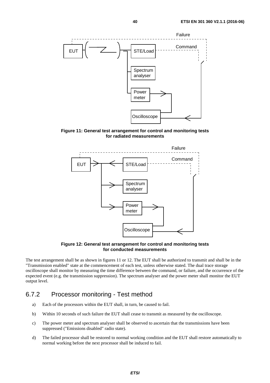<span id="page-39-0"></span>

**Figure 11: General test arrangement for control and monitoring tests for radiated measurements** 



**Figure 12: General test arrangement for control and monitoring tests for conducted measurements** 

The test arrangement shall be as shown in figures 11 or 12. The EUT shall be authorized to transmit and shall be in the "Transmission enabled" state at the commencement of each test, unless otherwise stated. The dual trace storage oscilloscope shall monitor by measuring the time difference between the command, or failure, and the occurrence of the expected event (e.g. the transmission suppression). The spectrum analyser and the power meter shall monitor the EUT output level.

### 6.7.2 Processor monitoring - Test method

- a) Each of the processors within the EUT shall, in turn, be caused to fail.
- b) Within 10 seconds of such failure the EUT shall cease to transmit as measured by the oscilloscope.
- c) The power meter and spectrum analyser shall be observed to ascertain that the transmissions have been suppressed ("Emissions disabled" radio state).
- d) The failed processor shall be restored to normal working condition and the EUT shall restore automatically to normal working before the next processor shall be induced to fail.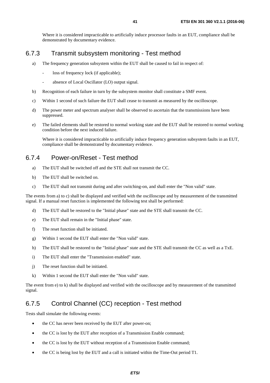<span id="page-40-0"></span> Where it is considered impracticable to artificially induce processor faults in an EUT, compliance shall be demonstrated by documentary evidence.

### 6.7.3 Transmit subsystem monitoring - Test method

- a) The frequency generation subsystem within the EUT shall be caused to fail in respect of:
	- loss of frequency lock (if applicable);
	- absence of Local Oscillator (LO) output signal.
- b) Recognition of each failure in turn by the subsystem monitor shall constitute a SMF event.
- c) Within 1 second of such failure the EUT shall cease to transmit as measured by the oscilloscope.
- d) The power meter and spectrum analyser shall be observed to ascertain that the transmissions have been suppressed.
- e) The failed elements shall be restored to normal working state and the EUT shall be restored to normal working condition before the next induced failure.

 Where it is considered impracticable to artificially induce frequency generation subsystem faults in an EUT, compliance shall be demonstrated by documentary evidence.

### 6.7.4 Power-on/Reset - Test method

- a) The EUT shall be switched off and the STE shall not transmit the CC.
- b) The EUT shall be switched on.
- c) The EUT shall not transmit during and after switching-on, and shall enter the "Non valid" state.

The events from a) to c) shall be displayed and verified with the oscilloscope and by measurement of the transmitted signal. If a manual reset function is implemented the following test shall be performed:

- d) The EUT shall be restored to the "Initial phase" state and the STE shall transmit the CC.
- e) The EUT shall remain in the "Initial phase" state.
- f) The reset function shall be initiated.
- g) Within 1 second the EUT shall enter the "Non valid" state.
- h) The EUT shall be restored to the "Initial phase" state and the STE shall transmit the CC as well as a TxE.
- i) The EUT shall enter the "Transmission enabled" state.
- j) The reset function shall be initiated.
- k) Within 1 second the EUT shall enter the "Non valid" state.

The event from e) to k) shall be displayed and verified with the oscilloscope and by measurement of the transmitted signal.

### 6.7.5 Control Channel (CC) reception - Test method

Tests shall simulate the following events:

- the CC has never been received by the EUT after power-on;
- the CC is lost by the EUT after reception of a Transmission Enable command;
- the CC is lost by the EUT without reception of a Transmission Enable command;
- the CC is being lost by the EUT and a call is initiated within the Time-Out period T1.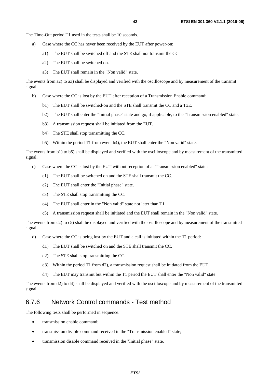<span id="page-41-0"></span>The Time-Out period T1 used in the tests shall be 10 seconds.

- a) Case where the CC has never been received by the EUT after power-on:
	- a1) The EUT shall be switched off and the STE shall not transmit the CC.
	- a2) The EUT shall be switched on.
	- a3) The EUT shall remain in the "Non valid" state.

The events from a2) to a3) shall be displayed and verified with the oscilloscope and by measurement of the transmit signal.

- b) Case where the CC is lost by the EUT after reception of a Transmission Enable command:
	- b1) The EUT shall be switched-on and the STE shall transmit the CC and a TxE.
	- b2) The EUT shall enter the "Initial phase" state and go, if applicable, to the "Transmission enabled" state.
	- b3) A transmission request shall be initiated from the EUT.
	- b4) The STE shall stop transmitting the CC.
	- b5) Within the period T1 from event b4), the EUT shall enter the "Non valid" state.

The events from b1) to b5) shall be displayed and verified with the oscilloscope and by measurement of the transmitted signal.

- c) Case where the CC is lost by the EUT without reception of a "Transmission enabled" state:
	- c1) The EUT shall be switched on and the STE shall transmit the CC.
	- c2) The EUT shall enter the "Initial phase" state.
	- c3) The STE shall stop transmitting the CC.
	- c4) The EUT shall enter in the "Non valid" state not later than T1.
	- c5) A transmission request shall be initiated and the EUT shall remain in the "Non valid" state.

The events from c2) to c5) shall be displayed and verified with the oscilloscope and by measurement of the transmitted signal.

- d) Case where the CC is being lost by the EUT and a call is initiated within the T1 period:
	- d1) The EUT shall be switched on and the STE shall transmit the CC.
	- d2) The STE shall stop transmitting the CC.
	- d3) Within the period T1 from d2), a transmission request shall be initiated from the EUT.
	- d4) The EUT may transmit but within the T1 period the EUT shall enter the "Non valid" state.

The events from d2) to d4) shall be displayed and verified with the oscilloscope and by measurement of the transmitted signal.

### 6.7.6 Network Control commands - Test method

The following tests shall be performed in sequence:

- transmission enable command:
- transmission disable command received in the "Transmission enabled" state:
- transmission disable command received in the "Initial phase" state.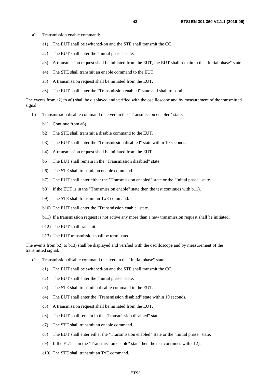- a) Transmission enable command:
	- a1) The EUT shall be switched-on and the STE shall transmit the CC.
	- a2) The EUT shall enter the "Initial phase" state.
	- a3) A transmission request shall be initiated from the EUT, the EUT shall remain in the "Initial phase" state.
	- a4) The STE shall transmit an enable command to the EUT.
	- a5) A transmission request shall be initiated from the EUT.
	- a6) The EUT shall enter the "Transmission enabled" state and shall transmit.

The events from a2) to a6) shall be displayed and verified with the oscilloscope and by measurement of the transmitted signal.

- b) Transmission disable command received in the "Transmission enabled" state:
	- b1) Continue from a6).
	- b2) The STE shall transmit a disable command to the EUT.
	- b3) The EUT shall enter the "Transmission disabled" state within 10 seconds.
	- b4) A transmission request shall be initiated from the EUT.
	- b5) The EUT shall remain in the "Transmission disabled" state.
	- b6) The STE shall transmit an enable command.
	- b7) The EUT shall enter either the "Transmission enabled" state or the "Initial phase" state.
	- b8) If the EUT is in the "Transmission enable" state then the test continues with b11).
	- b9) The STE shall transmit an TxE command.
	- b10) The EUT shall enter the "Transmission enable" state.
	- b11) If a transmission request is not active any more than a new transmission request shall be initiated.
	- b12) The EUT shall transmit.
	- b13) The EUT transmission shall be terminated.

The events from b2) to b13) shall be displayed and verified with the oscilloscope and by measurement of the transmitted signal.

- c) Transmission disable command received in the "Initial phase" state:
	- c1) The EUT shall be switched-on and the STE shall transmit the CC.
	- c2) The EUT shall enter the "Initial phase" state.
	- c3) The STE shall transmit a disable command to the EUT.
	- c4) The EUT shall enter the "Transmission disabled" state within 10 seconds.
	- c5) A transmission request shall be initiated from the EUT.
	- c6) The EUT shall remain in the "Transmission disabled" state.
	- c7) The STE shall transmit an enable command.
	- c8) The EUT shall enter either the "Transmission enabled" state or the "Initial phase" state.
	- $c$ 9) If the EUT is in the "Transmission enable" state then the test continues with c12).
	- c10) The STE shall transmit an TxE command.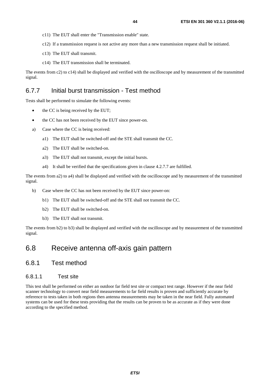- <span id="page-43-0"></span>c11) The EUT shall enter the "Transmission enable" state.
- c12) If a transmission request is not active any more than a new transmission request shall be initiated.
- c13) The EUT shall transmit.
- c14) The EUT transmission shall be terminated.

The events from c2) to c14) shall be displayed and verified with the oscilloscope and by measurement of the transmitted signal.

### 6.7.7 Initial burst transmission - Test method

Tests shall be performed to simulate the following events:

- the CC is being received by the EUT;
- the CC has not been received by the EUT since power-on.
- a) Case where the CC is being received:
	- a1) The EUT shall be switched-off and the STE shall transmit the CC.
	- a2) The EUT shall be switched-on.
	- a3) The EUT shall not transmit, except the initial bursts.
	- a4) It shall be verified that the specifications given in clause 4.2.7.7 are fulfilled.

The events from a2) to a4) shall be displayed and verified with the oscilloscope and by measurement of the transmitted signal.

- b) Case where the CC has not been received by the EUT since power-on:
	- b1) The EUT shall be switched-off and the STE shall not transmit the CC.
	- b2) The EUT shall be switched-on.
	- b3) The EUT shall not transmit.

The events from b2) to b3) shall be displayed and verified with the oscilloscope and by measurement of the transmitted signal.

### 6.8 Receive antenna off-axis gain pattern

### 6.8.1 Test method

#### 6.8.1.1 Test site

This test shall be performed on either an outdoor far field test site or compact test range. However if the near field scanner technology to convert near field measurements to far field results is proven and sufficiently accurate by reference to tests taken in both regions then antenna measurements may be taken in the near field. Fully automated systems can be used for these tests providing that the results can be proven to be as accurate as if they were done according to the specified method.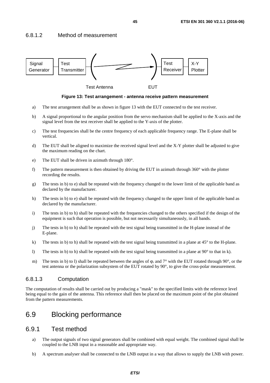### <span id="page-44-0"></span>6.8.1.2 Method of measurement



**Figure 13: Test arrangement - antenna receive pattern measurement** 

- a) The test arrangement shall be as shown in figure 13 with the EUT connected to the test receiver.
- b) A signal proportional to the angular position from the servo mechanism shall be applied to the X-axis and the signal level from the test receiver shall be applied to the Y-axis of the plotter.
- c) The test frequencies shall be the centre frequency of each applicable frequency range. The E-plane shall be vertical.
- d) The EUT shall be aligned to maximize the received signal level and the X-Y plotter shall be adjusted to give the maximum reading on the chart.
- e) The EUT shall be driven in azimuth through 180°.
- f) The pattern measurement is then obtained by driving the EUT in azimuth through  $360^\circ$  with the plotter recording the results.
- g) The tests in b) to e) shall be repeated with the frequency changed to the lower limit of the applicable band as declared by the manufacturer.
- h) The tests in b) to e) shall be repeated with the frequency changed to the upper limit of the applicable band as declared by the manufacturer.
- i) The tests in b) to h) shall be repeated with the frequencies changed to the others specified if the design of the equipment is such that operation is possible, but not necessarily simultaneously, in all bands.
- j) The tests in b) to h) shall be repeated with the test signal being transmitted in the H-plane instead of the E-plane.
- k) The tests in b) to h) shall be repeated with the test signal being transmitted in a plane at  $45^{\circ}$  to the H-plane.
- l) The tests in b) to h) shall be repeated with the test signal being transmitted in a plane at  $90^\circ$  to that in k).
- m) The tests in b) to l) shall be repeated between the angles of φ<sub>*r*</sub> and 7<sup>°</sup> with the EUT rotated through 90<sup>°</sup>, or the test antenna or the polarization subsystem of the EUT rotated by 90°, to give the cross-polar measurement.

### 6.8.1.3 Computation

The computation of results shall be carried out by producing a "mask" to the specified limits with the reference level being equal to the gain of the antenna. This reference shall then be placed on the maximum point of the plot obtained from the pattern measurements.

### 6.9 Blocking performance

### 6.9.1 Test method

- a) The output signals of two signal generators shall be combined with equal weight. The combined signal shall be coupled to the LNB input in a reasonable and appropriate way.
- b) A spectrum analyser shall be connected to the LNB output in a way that allows to supply the LNB with power.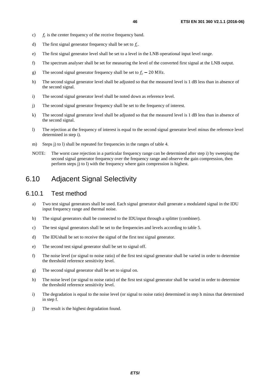- <span id="page-45-0"></span>c)  $f_c$  is the center frequency of the receive frequency band.
- d) The first signal generator frequency shall be set to  $f_c$ .
- e) The first signal generator level shall be set to a level in the LNB operational input level range.
- f) The spectrum analyser shall be set for measuring the level of the converted first signal at the LNB output.
- g) The second signal generator frequency shall be set to  $f_c 20$  MHz.
- h) The second signal generator level shall be adjusted so that the measured level is 1 dB less than in absence of the second signal.
- i) The second signal generator level shall be noted down as reference level.
- j) The second signal generator frequency shall be set to the frequency of interest.
- k) The second signal generator level shall be adjusted so that the measured level is 1 dB less than in absence of the second signal.
- l) The rejection at the frequency of interest is equal to the second signal generator level minus the reference level determined in step i).
- m) Steps j) to l) shall be repeated for frequencies in the ranges of table 4.
- NOTE: The worst case rejection in a particular frequency range can be determined after step i) by sweeping the second signal generator frequency over the frequency range and observe the gain compression, then perform steps j) to l) with the frequency where gain compression is highest.

### 6.10 Adjacent Signal Selectivity

### 6.10.1 Test method

- a) Two test signal generators shall be used. Each signal generator shall generate a modulated signal in the IDU input frequency range and thermal noise.
- b) The signal generators shall be connected to the IDUinput through a splitter (combiner).
- c) The test signal generators shall be set to the frequencies and levels according to table 5.
- d) The IDUshall be set to receive the signal of the first test signal generator.
- e) The second test signal generator shall be set to signal off.
- f) The noise level (or signal to noise ratio) of the first test signal generator shall be varied in order to determine the threshold reference sensitivity level.
- g) The second signal generator shall be set to signal on.
- h) The noise level (or signal to noise ratio) of the first test signal generator shall be varied in order to determine the threshold reference sensitivity level.
- i) The degradation is equal to the noise level (or signal to noise ratio) determined in step h minus that determined in step f.
- j) The result is the highest degradation found.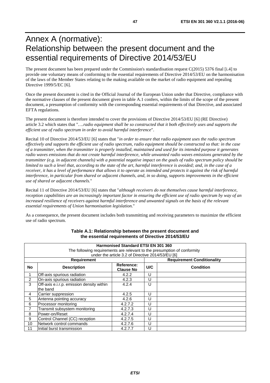# <span id="page-46-0"></span>Annex A (normative): Relationship between the present document and the essential requirements of Directive 2014/53/EU

The present document has been prepared under the Commission's standardisation request C(2015) 5376 final [\[i.4\]](#page-8-0) to provide one voluntary means of conforming to the essential requirements of Directive 2014/53/EU on the harmonisation of the laws of the Member States relating to the making available on the market of radio equipment and repealing Directive 1999/5/EC [\[6](#page-8-0)].

Once the present document is cited in the Official Journal of the European Union under that Directive, compliance with the normative clauses of the present document given in table A.1 confers, within the limits of the scope of the present document, a presumption of conformity with the corresponding essential requirements of that Directive, and associated EFTA regulations.

The present document is therefore intended to cover the provisions of Directive 2014/53/EU [[6\]](#page-8-0) (RE Directive) article 3.2 which states that "*….radio equipment shall be so constructed that it both effectively uses and supports the efficient use of radio spectrum in order to avoid harmful interference*".

Recital 10 of Directive 2014/53/EU [\[6](#page-8-0)] states that "*in order to ensure that radio equipment uses the radio spectrum effectively and supports the efficient use of radio spectrum, radio equipment should be constructed so that: in the case of a transmitter, when the transmitter is properly installed, maintained and used for its intended purpose it generates radio waves emissions that do not create harmful interference, while unwanted radio waves emissions generated by the transmitter (e.g. in adjacent channels) with a potential negative impact on the goals of radio spectrum policy should be limited to such a level that, according to the state of the art, harmful interference is avoided; and, in the case of a receiver, it has a level of performance that allows it to operate as intended and protects it against the risk of harmful interference, in particular from shared or adjacent channels, and, in so doing, supports improvements in the efficient use of shared or adjacent channels.*"

Recital 11 of Directive 2014/53/EU [\[6](#page-8-0)] states that "*although receivers do not themselves cause harmful interference, reception capabilities are an increasingly important factor in ensuring the efficient use of radio spectrum by way of an increased resilience of receivers against harmful interference and unwanted signals on the basis of the relevant essential requirements of Union harmonisation legislation.*"

As a consequence, the present document includes both transmitting and receiving parameters to maximize the efficient use of radio spectrum.

|                | Harmonised Standard ETSI EN 301 360<br>The following requirements are relevant to the presumption of conformity<br>under the article 3.2 of Directive 2014/53/EU [6] |                                |     |                                   |  |  |
|----------------|----------------------------------------------------------------------------------------------------------------------------------------------------------------------|--------------------------------|-----|-----------------------------------|--|--|
|                | <b>Requirement</b>                                                                                                                                                   |                                |     | <b>Requirement Conditionality</b> |  |  |
| No             | <b>Description</b>                                                                                                                                                   | Reference:<br><b>Clause No</b> | U/C | <b>Condition</b>                  |  |  |
|                | Off-axis spurious radiation                                                                                                                                          | 4.2.2                          | U   |                                   |  |  |
| $\overline{2}$ | On-axis spurious radiation                                                                                                                                           | 4.2.3                          | U   |                                   |  |  |
| 3              | Off-axis e.i.r.p. emission density within                                                                                                                            | 4.2.4                          | U   |                                   |  |  |
|                | the band                                                                                                                                                             |                                |     |                                   |  |  |
| 4              | Carrier suppression                                                                                                                                                  | 4.2.5                          | U   |                                   |  |  |
| 5              | Antenna pointing accuracy                                                                                                                                            | 4.2.6                          | U   |                                   |  |  |
| 6              | Processor monitoring                                                                                                                                                 | 4.2.7.2                        | U   |                                   |  |  |
| 7              | Transmit subsystem monitoring                                                                                                                                        | 4.2.7.3                        | U   |                                   |  |  |
| 8              | Power-on/Reset                                                                                                                                                       | 4.2.7.4                        | U   |                                   |  |  |
| 9              | Control Channel (CC) reception                                                                                                                                       | 4.2.7.5                        | U   |                                   |  |  |
| 10             | Network control commands                                                                                                                                             | 4.2.7.6                        | U   |                                   |  |  |
| 11             | Initial burst transmission                                                                                                                                           | 4.2.7.7                        | U   |                                   |  |  |

#### **Table A.1: Relationship between the present document and the essential requirements of Directive 2014/53/EU**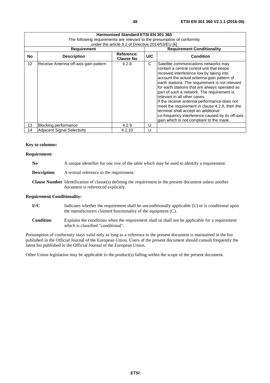|           | <b>Harmonised Standard ETSI EN 301 360</b>                               |                                                   |                         |                                                                                                                                                                                                                                                                                                                                                                                                                                                                                                                                                                                                         |  |  |
|-----------|--------------------------------------------------------------------------|---------------------------------------------------|-------------------------|---------------------------------------------------------------------------------------------------------------------------------------------------------------------------------------------------------------------------------------------------------------------------------------------------------------------------------------------------------------------------------------------------------------------------------------------------------------------------------------------------------------------------------------------------------------------------------------------------------|--|--|
|           | The following reguirements are relevant to the presumption of conformity |                                                   |                         |                                                                                                                                                                                                                                                                                                                                                                                                                                                                                                                                                                                                         |  |  |
|           |                                                                          | under the article 3.2 of Directive 2014/53/EU [6] |                         |                                                                                                                                                                                                                                                                                                                                                                                                                                                                                                                                                                                                         |  |  |
|           | <b>Requirement</b>                                                       |                                                   |                         | <b>Requirement Conditionality</b>                                                                                                                                                                                                                                                                                                                                                                                                                                                                                                                                                                       |  |  |
| <b>No</b> | <b>Description</b>                                                       | Reference:<br><b>Clause No</b>                    | U/C<br><b>Condition</b> |                                                                                                                                                                                                                                                                                                                                                                                                                                                                                                                                                                                                         |  |  |
| 12        | Receive Antenna off-axis gain pattern                                    | 4.2.8                                             | C                       | Satellite communications networks may<br>contain a central control unit that keeps<br>received interference low by taking into<br>account the actual antenna gain pattern of<br>earth stations. The requirement is not relevant<br>for earth stations that are always operated as<br>part of such a network. The requirement is<br>relevant in all other cases.<br>If the receive antenna performance does not<br>meet the requirement in clause 4.2.8, then the<br>terminal shall accept an additional<br>co-frequency interference caused by its off-axis<br>gain which is not compliant to the mask. |  |  |
| 13        | Blocking performance                                                     | 4.2.9                                             | U                       |                                                                                                                                                                                                                                                                                                                                                                                                                                                                                                                                                                                                         |  |  |
| 14        | <b>Adjacent Signal Selectivity</b>                                       | 4.2.10                                            | U                       |                                                                                                                                                                                                                                                                                                                                                                                                                                                                                                                                                                                                         |  |  |

### **Key to columns:**

### **Requirement:**

| No<br>A unique identifier for one row of the table which may be used to identify a requirement. |  |
|-------------------------------------------------------------------------------------------------|--|
|-------------------------------------------------------------------------------------------------|--|

**Description** A textual reference to the requirement.

**Clause Number** Identification of clause(s) defining the requirement in the present document unless another document is referenced explicitly.

#### **Requirement Conditionality:**

- **U/C** Indicates whether the requirement shall be unconditionally applicable (U) or is conditional upon the manufacturers claimed functionality of the equipment (C).
- **Condition** Explains the conditions when the requirement shall or shall not be applicable for a requirement which is classified "conditional".

Presumption of conformity stays valid only as long as a reference to the present document is maintained in the list published in the Official Journal of the European Union. Users of the present document should consult frequently the latest list published in the Official Journal of the European Union.

Other Union legislation may be applicable to the product(s) falling within the scope of the present document.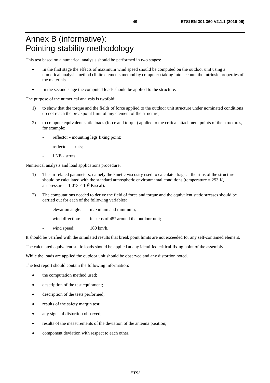# <span id="page-48-0"></span>Annex B (informative): Pointing stability methodology

This test based on a numerical analysis should be performed in two stages:

- In the first stage the effects of maximum wind speed should be computed on the outdoor unit using a numerical analysis method (finite elements method by computer) taking into account the intrinsic properties of the materials.
- In the second stage the computed loads should be applied to the structure.

The purpose of the numerical analysis is twofold:

- 1) to show that the torque and the fields of force applied to the outdoor unit structure under nominated conditions do not reach the breakpoint limit of any element of the structure;
- 2) to compute equivalent static loads (force and torque) applied to the critical attachment points of the structures, for example:
	- reflector mounting legs fixing point;
	- reflector struts;
	- LNB struts.

Numerical analysis and load applications procedure:

- 1) The air related parameters, namely the kinetic viscosity used to calculate drags at the rims of the structure should be calculated with the standard atmospheric environmental conditions (temperature  $= 293$  K, air pressure =  $1,013 \times 10^5$  Pascal).
- 2) The computations needed to derive the field of force and torque and the equivalent static stresses should be carried out for each of the following variables:
	- elevation angle: maximum and minimum;
	- wind direction: in steps of  $45^{\circ}$  around the outdoor unit;
	- wind speed:  $160 \text{ km/h}$ .

It should be verified with the simulated results that break point limits are not exceeded for any self-contained element.

The calculated equivalent static loads should be applied at any identified critical fixing point of the assembly.

While the loads are applied the outdoor unit should be observed and any distortion noted.

The test report should contain the following information:

- the computation method used;
- description of the test equipment;
- description of the tests performed;
- results of the safety margin test;
- any signs of distortion observed;
- results of the measurements of the deviation of the antenna position;
- component deviation with respect to each other.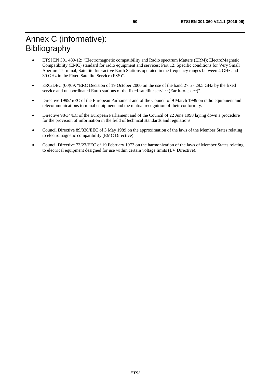# <span id="page-49-0"></span>Annex C (informative): Bibliography

- ETSI EN 301 489-12: "Electromagnetic compatibility and Radio spectrum Matters (ERM); ElectroMagnetic Compatibility (EMC) standard for radio equipment and services; Part 12: Specific conditions for Very Small Aperture Terminal, Satellite Interactive Earth Stations operated in the frequency ranges between 4 GHz and 30 GHz in the Fixed Satellite Service (FSS)".
- ERC/DEC (00)09: "ERC Decision of 19 October 2000 on the use of the band 27.5 29.5 GHz by the fixed service and uncoordinated Earth stations of the fixed-satellite service (Earth-to-space)".
- Directive 1999/5/EC of the European Parliament and of the Council of 9 March 1999 on radio equipment and telecommunications terminal equipment and the mutual recognition of their conformity.
- Directive 98/34/EC of the European Parliament and of the Council of 22 June 1998 laying down a procedure for the provision of information in the field of technical standards and regulations.
- Council Directive 89/336/EEC of 3 May 1989 on the approximation of the laws of the Member States relating to electromagnetic compatibility (EMC Directive).
- Council Directive 73/23/EEC of 19 February 1973 on the harmonization of the laws of Member States relating to electrical equipment designed for use within certain voltage limits (LV Directive).